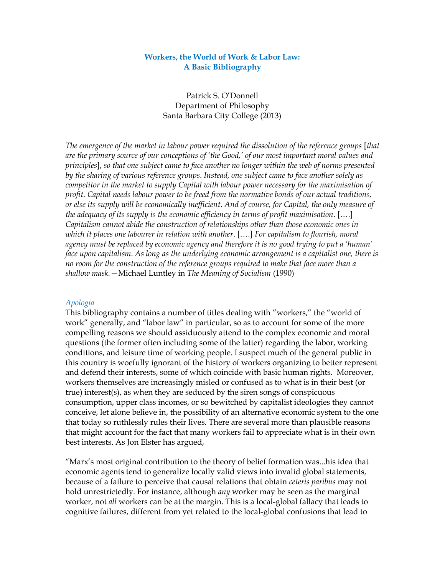## **Workers, the World of Work & Labor Law: A Basic Bibliography**

Patrick S. O'Donnell Department of Philosophy Santa Barbara City College (2013)

*The emergence of the market in labour power required the dissolution of the reference groups* [*that are the primary source of our conceptions of 'the Good,' of our most important moral values and principles*], *so that one subject came to face another no longer within the web of norms presented by the sharing of various reference groups*. *Instead, one subject came to face another solely as competitor in the market to supply Capital with labour power necessary for the maximisation of profit*. *Capital needs labour power to be freed from the normative bonds of our actual traditions, or else its supply will be economically inefficient*. *And of course, for Capital, the only measure of the adequacy of its supply is the economic efficiency in terms of profit maximisation*. [….] *Capitalism cannot abide the construction of relationships other than those economic ones in which it places one labourer in relation with another*. [….] *For capitalism to flourish, moral agency must be replaced by economic agency and therefore it is no good trying to put a 'human' face upon capitalism*. *As long as the underlying economic arrangement is a capitalist one, there is no room for the construction of the reference groups required to make that face more than a shallow mask.*—Michael Luntley in *The Meaning of Socialism* (1990)

#### *Apologia*

This bibliography contains a number of titles dealing with "workers," the "world of work" generally, and "labor law" in particular, so as to account for some of the more compelling reasons we should assiduously attend to the complex economic and moral questions (the former often including some of the latter) regarding the labor, working conditions, and leisure time of working people. I suspect much of the general public in this country is woefully ignorant of the history of workers organizing to better represent and defend their interests, some of which coincide with basic human rights. Moreover, workers themselves are increasingly misled or confused as to what is in their best (or true) interest(s), as when they are seduced by the siren songs of conspicuous consumption, upper class incomes, or so bewitched by capitalist ideologies they cannot conceive, let alone believe in, the possibility of an alternative economic system to the one that today so ruthlessly rules their lives. There are several more than plausible reasons that might account for the fact that many workers fail to appreciate what is in their own best interests. As Jon Elster has argued,

"Marx's most original contribution to the theory of belief formation was...his idea that economic agents tend to generalize locally valid views into invalid global statements, because of a failure to perceive that causal relations that obtain *ceteris paribus* may not hold unrestrictedly. For instance, although *any* worker may be seen as the marginal worker, not *all* workers can be at the margin. This is a local-global fallacy that leads to cognitive failures, different from yet related to the local-global confusions that lead to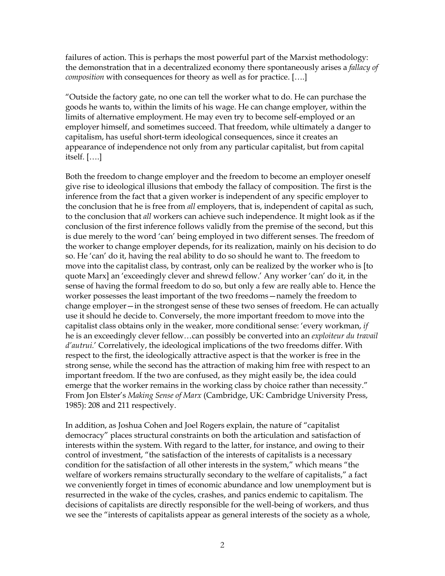failures of action. This is perhaps the most powerful part of the Marxist methodology: the demonstration that in a decentralized economy there spontaneously arises a *fallacy of composition* with consequences for theory as well as for practice. [….]

"Outside the factory gate, no one can tell the worker what to do. He can purchase the goods he wants to, within the limits of his wage. He can change employer, within the limits of alternative employment. He may even try to become self-employed or an employer himself, and sometimes succeed. That freedom, while ultimately a danger to capitalism, has useful short-term ideological consequences, since it creates an appearance of independence not only from any particular capitalist, but from capital itself. [….]

Both the freedom to change employer and the freedom to become an employer oneself give rise to ideological illusions that embody the fallacy of composition. The first is the inference from the fact that a given worker is independent of any specific employer to the conclusion that he is free from *all* employers, that is, independent of capital as such, to the conclusion that *all* workers can achieve such independence. It might look as if the conclusion of the first inference follows validly from the premise of the second, but this is due merely to the word 'can' being employed in two different senses. The freedom of the worker to change employer depends, for its realization, mainly on his decision to do so. He 'can' do it, having the real ability to do so should he want to. The freedom to move into the capitalist class, by contrast, only can be realized by the worker who is [to quote Marx] an 'exceedingly clever and shrewd fellow.' Any worker 'can' do it, in the sense of having the formal freedom to do so, but only a few are really able to. Hence the worker possesses the least important of the two freedoms—namely the freedom to change employer—in the strongest sense of these two senses of freedom. He can actually use it should he decide to. Conversely, the more important freedom to move into the capitalist class obtains only in the weaker, more conditional sense: 'every workman, *if*  he is an exceedingly clever fellow…can possibly be converted into an *exploiteur du travail d'autrui.*' Correlatively, the ideological implications of the two freedoms differ. With respect to the first, the ideologically attractive aspect is that the worker is free in the strong sense, while the second has the attraction of making him free with respect to an important freedom. If the two are confused, as they might easily be, the idea could emerge that the worker remains in the working class by choice rather than necessity." From Jon Elster's *Making Sense of Marx* (Cambridge, UK: Cambridge University Press, 1985): 208 and 211 respectively.

In addition, as Joshua Cohen and Joel Rogers explain, the nature of "capitalist democracy" places structural constraints on both the articulation and satisfaction of interests within the system. With regard to the latter, for instance, and owing to their control of investment, "the satisfaction of the interests of capitalists is a necessary condition for the satisfaction of all other interests in the system," which means "the welfare of workers remains structurally secondary to the welfare of capitalists," a fact we conveniently forget in times of economic abundance and low unemployment but is resurrected in the wake of the cycles, crashes, and panics endemic to capitalism. The decisions of capitalists are directly responsible for the well-being of workers, and thus we see the "interests of capitalists appear as general interests of the society as a whole,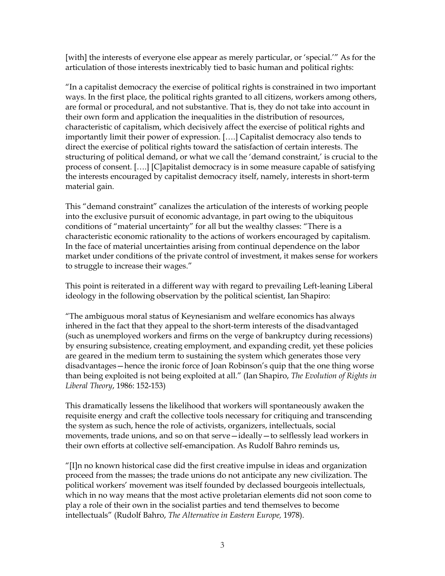[with] the interests of everyone else appear as merely particular, or 'special.'" As for the articulation of those interests inextricably tied to basic human and political rights:

"In a capitalist democracy the exercise of political rights is constrained in two important ways. In the first place, the political rights granted to all citizens, workers among others, are formal or procedural, and not substantive. That is, they do not take into account in their own form and application the inequalities in the distribution of resources, characteristic of capitalism, which decisively affect the exercise of political rights and importantly limit their power of expression. [….] Capitalist democracy also tends to direct the exercise of political rights toward the satisfaction of certain interests. The structuring of political demand, or what we call the 'demand constraint,' is crucial to the process of consent. [….] [C]apitalist democracy is in some measure capable of satisfying the interests encouraged by capitalist democracy itself, namely, interests in short-term material gain.

This "demand constraint" canalizes the articulation of the interests of working people into the exclusive pursuit of economic advantage, in part owing to the ubiquitous conditions of "material uncertainty" for all but the wealthy classes: "There is a characteristic economic rationality to the actions of workers encouraged by capitalism. In the face of material uncertainties arising from continual dependence on the labor market under conditions of the private control of investment, it makes sense for workers to struggle to increase their wages."

This point is reiterated in a different way with regard to prevailing Left-leaning Liberal ideology in the following observation by the political scientist, Ian Shapiro:

"The ambiguous moral status of Keynesianism and welfare economics has always inhered in the fact that they appeal to the short-term interests of the disadvantaged (such as unemployed workers and firms on the verge of bankruptcy during recessions) by ensuring subsistence, creating employment, and expanding credit, yet these policies are geared in the medium term to sustaining the system which generates those very disadvantages—hence the ironic force of Joan Robinson's quip that the one thing worse than being exploited is not being exploited at all." (Ian Shapiro, *The Evolution of Rights in Liberal Theory*, 1986: 152-153)

This dramatically lessens the likelihood that workers will spontaneously awaken the requisite energy and craft the collective tools necessary for critiquing and transcending the system as such, hence the role of activists, organizers, intellectuals, social movements, trade unions, and so on that serve—ideally—to selflessly lead workers in their own efforts at collective self-emancipation. As Rudolf Bahro reminds us,

"[I]n no known historical case did the first creative impulse in ideas and organization proceed from the masses; the trade unions do not anticipate any new civilization. The political workers' movement was itself founded by declassed bourgeois intellectuals, which in no way means that the most active proletarian elements did not soon come to play a role of their own in the socialist parties and tend themselves to become intellectuals" (Rudolf Bahro, *The Alternative in Eastern Europe,* 1978).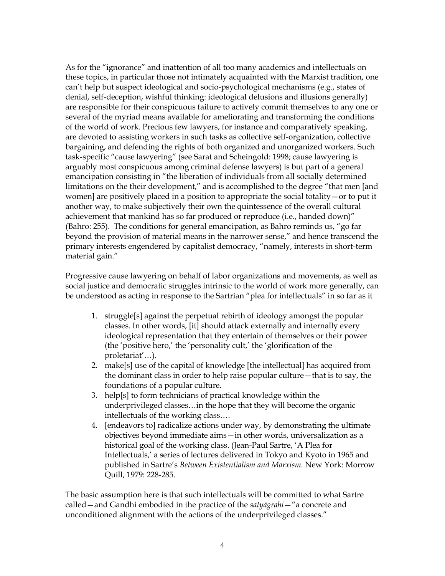As for the "ignorance" and inattention of all too many academics and intellectuals on these topics, in particular those not intimately acquainted with the Marxist tradition, one can't help but suspect ideological and socio-psychological mechanisms (e.g., states of denial, self-deception, wishful thinking: ideological delusions and illusions generally) are responsible for their conspicuous failure to actively commit themselves to any one or several of the myriad means available for ameliorating and transforming the conditions of the world of work. Precious few lawyers, for instance and comparatively speaking, are devoted to assisting workers in such tasks as collective self-organization, collective bargaining, and defending the rights of both organized and unorganized workers. Such task-specific "cause lawyering" (see Sarat and Scheingold: 1998; cause lawyering is arguably most conspicuous among criminal defense lawyers) is but part of a general emancipation consisting in "the liberation of individuals from all socially determined limitations on the their development," and is accomplished to the degree "that men [and women] are positively placed in a position to appropriate the social totality—or to put it another way, to make subjectively their own the quintessence of the overall cultural achievement that mankind has so far produced or reproduce (i.e., handed down)" (Bahro: 255). The conditions for general emancipation, as Bahro reminds us, "go far beyond the provision of material means in the narrower sense," and hence transcend the primary interests engendered by capitalist democracy, "namely, interests in short-term material gain."

Progressive cause lawyering on behalf of labor organizations and movements, as well as social justice and democratic struggles intrinsic to the world of work more generally, can be understood as acting in response to the Sartrian "plea for intellectuals" in so far as it

- 1. struggle[s] against the perpetual rebirth of ideology amongst the popular classes. In other words, [it] should attack externally and internally every ideological representation that they entertain of themselves or their power (the 'positive hero,' the 'personality cult,' the 'glorification of the proletariat'…).
- 2. make[s] use of the capital of knowledge [the intellectual] has acquired from the dominant class in order to help raise popular culture—that is to say, the foundations of a popular culture.
- 3. help[s] to form technicians of practical knowledge within the underprivileged classes…in the hope that they will become the organic intellectuals of the working class….
- 4. [endeavors to] radicalize actions under way, by demonstrating the ultimate objectives beyond immediate aims—in other words, universalization as a historical goal of the working class. (Jean-Paul Sartre, 'A Plea for Intellectuals,' a series of lectures delivered in Tokyo and Kyoto in 1965 and published in Sartre's *Between Existentialism and Marxism.* New York: Morrow Quill, 1979: 228-285.

The basic assumption here is that such intellectuals will be committed to what Sartre called—and Gandhi embodied in the practice of the *satyāgrahi*—"a concrete and unconditioned alignment with the actions of the underprivileged classes."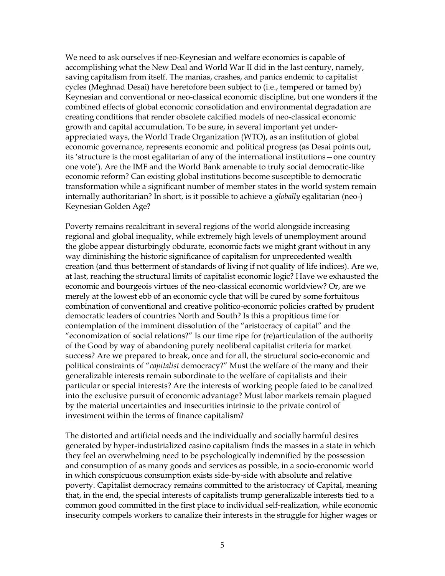We need to ask ourselves if neo-Keynesian and welfare economics is capable of accomplishing what the New Deal and World War II did in the last century, namely, saving capitalism from itself. The manias, crashes, and panics endemic to capitalist cycles (Meghnad Desai) have heretofore been subject to (i.e., tempered or tamed by) Keynesian and conventional or neo-classical economic discipline, but one wonders if the combined effects of global economic consolidation and environmental degradation are creating conditions that render obsolete calcified models of neo-classical economic growth and capital accumulation. To be sure, in several important yet underappreciated ways, the World Trade Organization (WTO), as an institution of global economic governance, represents economic and political progress (as Desai points out, its 'structure is the most egalitarian of any of the international institutions—one country one vote'). Are the IMF and the World Bank amenable to truly social democratic-like economic reform? Can existing global institutions become susceptible to democratic transformation while a significant number of member states in the world system remain internally authoritarian? In short, is it possible to achieve a *globally* egalitarian (neo-) Keynesian Golden Age?

Poverty remains recalcitrant in several regions of the world alongside increasing regional and global inequality, while extremely high levels of unemployment around the globe appear disturbingly obdurate, economic facts we might grant without in any way diminishing the historic significance of capitalism for unprecedented wealth creation (and thus betterment of standards of living if not quality of life indices). Are we, at last, reaching the structural limits of capitalist economic logic? Have we exhausted the economic and bourgeois virtues of the neo-classical economic worldview? Or, are we merely at the lowest ebb of an economic cycle that will be cured by some fortuitous combination of conventional and creative politico-economic policies crafted by prudent democratic leaders of countries North and South? Is this a propitious time for contemplation of the imminent dissolution of the "aristocracy of capital" and the "economization of social relations?" Is our time ripe for (re)articulation of the authority of the Good by way of abandoning purely neoliberal capitalist criteria for market success? Are we prepared to break, once and for all, the structural socio-economic and political constraints of "*capitalist* democracy?" Must the welfare of the many and their generalizable interests remain subordinate to the welfare of capitalists and their particular or special interests? Are the interests of working people fated to be canalized into the exclusive pursuit of economic advantage? Must labor markets remain plagued by the material uncertainties and insecurities intrinsic to the private control of investment within the terms of finance capitalism?

The distorted and artificial needs and the individually and socially harmful desires generated by hyper-industrialized casino capitalism finds the masses in a state in which they feel an overwhelming need to be psychologically indemnified by the possession and consumption of as many goods and services as possible, in a socio-economic world in which conspicuous consumption exists side-by-side with absolute and relative poverty. Capitalist democracy remains committed to the aristocracy of Capital, meaning that, in the end, the special interests of capitalists trump generalizable interests tied to a common good committed in the first place to individual self-realization, while economic insecurity compels workers to canalize their interests in the struggle for higher wages or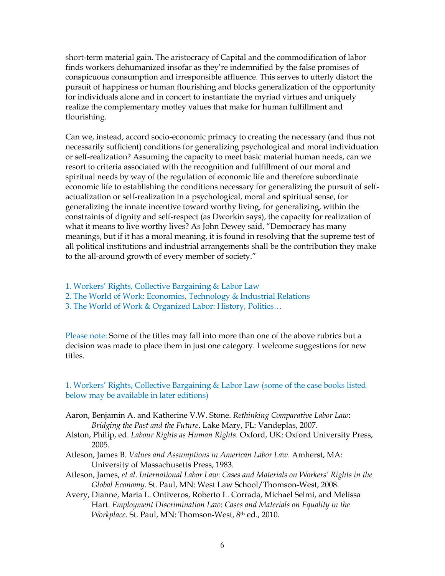short-term material gain. The aristocracy of Capital and the commodification of labor finds workers dehumanized insofar as they're indemnified by the false promises of conspicuous consumption and irresponsible affluence. This serves to utterly distort the pursuit of happiness or human flourishing and blocks generalization of the opportunity for individuals alone and in concert to instantiate the myriad virtues and uniquely realize the complementary motley values that make for human fulfillment and flourishing.

Can we, instead, accord socio-economic primacy to creating the necessary (and thus not necessarily sufficient) conditions for generalizing psychological and moral individuation or self-realization? Assuming the capacity to meet basic material human needs, can we resort to criteria associated with the recognition and fulfillment of our moral and spiritual needs by way of the regulation of economic life and therefore subordinate economic life to establishing the conditions necessary for generalizing the pursuit of selfactualization or self-realization in a psychological, moral and spiritual sense, for generalizing the innate incentive toward worthy living, for generalizing, within the constraints of dignity and self-respect (as Dworkin says), the capacity for realization of what it means to live worthy lives? As John Dewey said, "Democracy has many meanings, but if it has a moral meaning, it is found in resolving that the supreme test of all political institutions and industrial arrangements shall be the contribution they make to the all-around growth of every member of society."

- 1. Workers' Rights, Collective Bargaining & Labor Law
- 2. The World of Work: Economics, Technology & Industrial Relations
- 3. The World of Work & Organized Labor: History, Politics…

Please note: Some of the titles may fall into more than one of the above rubrics but a decision was made to place them in just one category. I welcome suggestions for new titles.

# 1. Workers' Rights, Collective Bargaining & Labor Law (some of the case books listed below may be available in later editions)

- Aaron, Benjamin A. and Katherine V.W. Stone. *Rethinking Comparative Labor Law*: *Bridging the Past and the Future*. Lake Mary, FL: Vandeplas, 2007.
- Alston, Philip, ed. *Labour Rights as Human Rights*. Oxford, UK: Oxford University Press, 2005.
- Atleson, James B. *Values and Assumptions in American Labor Law*. Amherst, MA: University of Massachusetts Press, 1983.
- Atleson, James, *et al*. *International Labor Law*: *Cases and Materials on Workers' Rights in the Global Economy*. St. Paul, MN: West Law School/Thomson-West, 2008.
- Avery, Dianne, Maria L. Ontiveros, Roberto L. Corrada, Michael Selmi, and Melissa Hart. *Employment Discrimination Law*: *Cases and Materials on Equality in the Workplace*. St. Paul, MN: Thomson-West, 8th ed., 2010.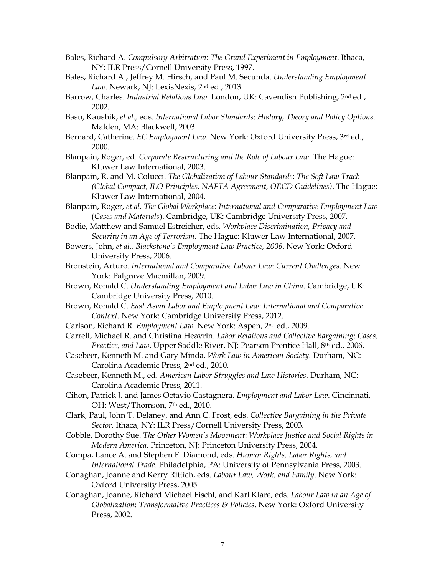- Bales, Richard A. *Compulsory Arbitration*: *The Grand Experiment in Employment*. Ithaca, NY: ILR Press/Cornell University Press, 1997.
- Bales, Richard A., Jeffrey M. Hirsch, and Paul M. Secunda. *Understanding Employment Law*. Newark, NJ: LexisNexis, 2nd ed., 2013.
- Barrow, Charles. *Industrial Relations Law.* London, UK: Cavendish Publishing, 2nd ed., 2002.
- Basu, Kaushik, *et al.,* eds. *International Labor Standards*: *History, Theory and Policy Options*. Malden, MA: Blackwell, 2003.
- Bernard, Catherine. *EC Employment Law*. New York: Oxford University Press, 3rd ed., 2000.
- Blanpain, Roger, ed. *Corporate Restructuring and the Role of Labour Law*. The Hague: Kluwer Law International, 2003.
- Blanpain, R. and M. Colucci. *The Globalization of Labour Standards*: *The Soft Law Track (Global Compact, ILO Principles, NAFTA Agreement, OECD Guidelines)*. The Hague: Kluwer Law International, 2004.
- Blanpain, Roger, *et al. The Global Workplace*: *International and Comparative Employment Law*  (*Cases and Materials*). Cambridge, UK: Cambridge University Press, 2007.

Bodie, Matthew and Samuel Estreicher, eds. *Workplace Discrimination, Privacy and Security in an Age of Terrorism*. The Hague: Kluwer Law International, 2007.

- Bowers, John, *et al., Blackstone's Employment Law Practice, 2006*. New York: Oxford University Press, 2006.
- Bronstein, Arturo. *International and Comparative Labour Law*: *Current Challenges*. New York: Palgrave Macmillan, 2009.
- Brown, Ronald C. *Understanding Employment and Labor Law in China*. Cambridge, UK: Cambridge University Press, 2010.
- Brown, Ronald C. *East Asian Labor and Employment Law*: *International and Comparative Context*. New York: Cambridge University Press, 2012.
- Carlson, Richard R. *Employment Law*. New York: Aspen, 2nd ed., 2009.
- Carrell, Michael R. and Christina Heavrin. *Labor Relations and Collective Bargaining*: *Cases, Practice, and Law*. Upper Saddle River, NJ: Pearson Prentice Hall, 8th ed., 2006.
- Casebeer, Kenneth M. and Gary Minda. *Work Law in American Society*. Durham, NC: Carolina Academic Press, 2nd ed., 2010.
- Casebeer, Kenneth M., ed. *American Labor Struggles and Law Histories*. Durham, NC: Carolina Academic Press, 2011.
- Cihon, Patrick J. and James Octavio Castagnera. *Employment and Labor Law*. Cincinnati, OH: West/Thomson, 7<sup>th</sup> ed., 2010.
- Clark, Paul, John T. Delaney, and Ann C. Frost, eds. *Collective Bargaining in the Private Sector*. Ithaca, NY: ILR Press/Cornell University Press, 2003.
- Cobble, Dorothy Sue. *The Other Women's Movement*: *Workplace Justice and Social Rights in Modern America*. Princeton, NJ: Princeton University Press, 2004.
- Compa, Lance A. and Stephen F. Diamond, eds. *Human Rights, Labor Rights, and International Trade*. Philadelphia, PA: University of Pennsylvania Press, 2003.
- Conaghan, Joanne and Kerry Rittich, eds. *Labour Law, Work, and Family*. New York: Oxford University Press, 2005.
- Conaghan, Joanne, Richard Michael Fischl, and Karl Klare, eds. *Labour Law in an Age of Globalization*: *Transformative Practices & Policies*. New York: Oxford University Press, 2002.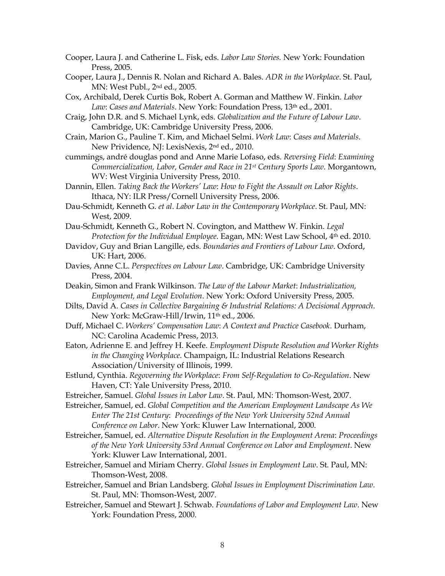Cooper, Laura J. and Catherine L. Fisk, eds. *Labor Law Stories.* New York: Foundation Press, 2005.

Cooper, Laura J., Dennis R. Nolan and Richard A. Bales. *ADR in the Workplace*. St. Paul, MN: West Publ., 2nd ed., 2005.

Cox, Archibald, Derek Curtis Bok, Robert A. Gorman and Matthew W. Finkin. *Labor Law*: *Cases and Materials*. New York: Foundation Press, 13th ed., 2001.

Craig, John D.R. and S. Michael Lynk, eds. *Globalization and the Future of Labour Law*. Cambridge, UK: Cambridge University Press, 2006.

Crain, Marion G., Pauline T. Kim, and Michael Selmi. *Work Law*: *Cases and Materials*. New Prividence, NJ: LexisNexis, 2nd ed., 2010.

cummings, andré douglas pond and Anne Marie Lofaso, eds. *Reversing Field*: *Examining Commercialization, Labor, Gender and Race in 21st Century Sports Law*. Morgantown, WV: West Virginia University Press, 2010.

Dannin, Ellen. *Taking Back the Workers' Law*: *How to Fight the Assault on Labor Rights*. Ithaca, NY: ILR Press/Cornell University Press, 2006.

Dau-Schmidt, Kenneth G. *et al*. *Labor Law in the Contemporary Workplace*. St. Paul, MN: West, 2009.

Dau-Schmidt, Kenneth G., Robert N. Covington, and Matthew W. Finkin. *Legal*  Protection for the Individual Employee. Eagan, MN: West Law School, 4<sup>th</sup> ed. 2010.

- Davidov, Guy and Brian Langille, eds. *Boundaries and Frontiers of Labour Law*. Oxford, UK: Hart, 2006.
- Davies, Anne C.L. *Perspectives on Labour Law*. Cambridge, UK: Cambridge University Press, 2004.

Deakin, Simon and Frank Wilkinson. *The Law of the Labour Market*: *Industrialization, Employment, and Legal Evolution*. New York: Oxford University Press, 2005.

Dilts, David A. *Cases in Collective Bargaining & Industrial Relations: A Decisional Approach*. New York: McGraw-Hill/Irwin, 11<sup>th</sup> ed., 2006.

Duff, Michael C. *Workers' Compensation Law*: *A Context and Practice Casebook*. Durham, NC: Carolina Academic Press, 2013.

Eaton, Adrienne E. and Jeffrey H. Keefe*. Employment Dispute Resolution and Worker Rights in the Changing Workplace*. Champaign, IL: Industrial Relations Research Association/University of Illinois, 1999.

Estlund, Cynthia. *Regoverning the Workplace*: *From Self-Regulation to Co-Regulation*. New Haven, CT: Yale University Press, 2010.

Estreicher, Samuel. *Global Issues in Labor Law*. St. Paul, MN: Thomson-West, 2007.

Estreicher, Samuel, ed. *Global Competition and the American Employment Landscape As We Enter The 21st Century*: *Proceedings of the New York University 52nd Annual Conference on Labor*. New York: Kluwer Law International, 2000.

Estreicher, Samuel, ed. *Alternative Dispute Resolution in the Employment Arena*: *Proceedings of the New York University 53rd Annual Conference on Labor and Employment*. New York: Kluwer Law International, 2001.

Estreicher, Samuel and Miriam Cherry. *Global Issues in Employment Law*. St. Paul, MN: Thomson-West, 2008.

Estreicher, Samuel and Brian Landsberg. *Global Issues in Employment Discrimination Law*. St. Paul, MN: Thomson-West, 2007.

Estreicher, Samuel and Stewart J. Schwab. *Foundations of Labor and Employment Law*. New York: Foundation Press, 2000.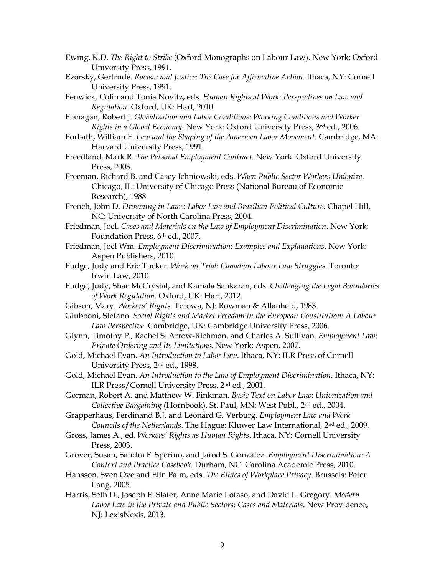- Ewing, K.D. *The Right to Strike* (Oxford Monographs on Labour Law). New York: Oxford University Press, 1991.
- Ezorsky, Gertrude. *Racism and Justice*: *The Case for Affirmative Action*. Ithaca, NY: Cornell University Press, 1991.
- Fenwick, Colin and Tonia Novitz, eds. *Human Rights at Work*: *Perspectives on Law and Regulation*. Oxford, UK: Hart, 2010.
- Flanagan, Robert J. *Globalization and Labor Conditions*: *Working Conditions and Worker Rights in a Global Economy*. New York: Oxford University Press, 3rd ed., 2006.
- Forbath, William E. *Law and the Shaping of the American Labor Movement*. Cambridge, MA: Harvard University Press, 1991.
- Freedland, Mark R. *The Personal Employment Contract*. New York: Oxford University Press, 2003.
- Freeman, Richard B. and Casey Ichniowski, eds. *When Public Sector Workers Unionize*. Chicago, IL: University of Chicago Press (National Bureau of Economic Research), 1988.
- French, John D. *Drowning in Laws*: *Labor Law and Brazilian Political Culture*. Chapel Hill, NC: University of North Carolina Press, 2004.
- Friedman, Joel. *Cases and Materials on the Law of Employment Discrimination*. New York: Foundation Press, 6<sup>th</sup> ed., 2007.
- Friedman, Joel Wm. *Employment Discrimination*: *Examples and Explanations*. New York: Aspen Publishers, 2010.
- Fudge, Judy and Eric Tucker. *Work on Trial*: *Canadian Labour Law Struggles*. Toronto: Irwin Law, 2010.
- Fudge, Judy, Shae McCrystal, and Kamala Sankaran, eds. *Challenging the Legal Boundaries of Work Regulation*. Oxford, UK: Hart, 2012.
- Gibson, Mary. *Workers' Rights*. Totowa, NJ: Rowman & Allanheld, 1983.
- Giubboni, Stefano. *Social Rights and Market Freedom in the European Constitution*: *A Labour Law Perspective*. Cambridge, UK: Cambridge University Press, 2006.
- Glynn, Timothy P., Rachel S. Arrow-Richman, and Charles A. Sullivan. *Employment Law*: *Private Ordering and Its Limitations*. New York: Aspen, 2007.
- Gold, Michael Evan*. An Introduction to Labor Law*. Ithaca, NY: ILR Press of Cornell University Press, 2nd ed., 1998.
- Gold, Michael Evan. *An Introduction to the Law of Employment Discrimination*. Ithaca, NY: ILR Press/Cornell University Press, 2nd ed., 2001.
- Gorman, Robert A. and Matthew W. Finkman. *Basic Text on Labor Law*: *Unionization and Collective Bargaining* (Hornbook). St. Paul, MN: West Publ., 2nd ed., 2004.
- Grapperhaus, Ferdinand B.J. and Leonard G. Verburg. *Employment Law and Work Councils of the Netherlands*. The Hague: Kluwer Law International, 2nd ed., 2009.
- Gross, James A., ed. *Workers' Rights as Human Rights*. Ithaca, NY: Cornell University Press, 2003.
- Grover, Susan, Sandra F. Sperino, and Jarod S. Gonzalez. *Employment Discrimination*: *A Context and Practice Casebook*. Durham, NC: Carolina Academic Press, 2010.
- Hansson, Sven Ove and Elin Palm, eds. *The Ethics of Workplace Privacy*. Brussels: Peter Lang, 2005.
- Harris, Seth D., Joseph E. Slater, Anne Marie Lofaso, and David L. Gregory. *Modern Labor Law in the Private and Public Sectors*: *Cases and Materials*. New Providence, NJ: LexisNexis, 2013.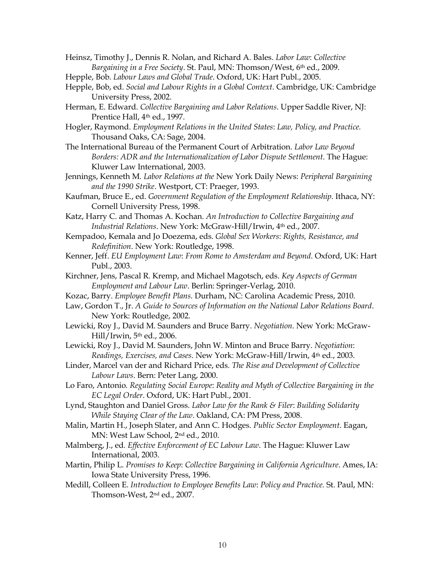Heinsz, Timothy J., Dennis R. Nolan, and Richard A. Bales. *Labor Law*: *Collective Bargaining in a Free Society*. St. Paul, MN: Thomson/West, 6th ed., 2009.

- Hepple, Bob. *Labour Laws and Global Trade*. Oxford, UK: Hart Publ., 2005.
- Hepple, Bob, ed. *Social and Labour Rights in a Global Context*. Cambridge, UK: Cambridge University Press, 2002.
- Herman, E. Edward. *Collective Bargaining and Labor Relations*. Upper Saddle River, NJ: Prentice Hall, 4<sup>th</sup> ed., 1997.
- Hogler, Raymond. *Employment Relations in the United States*: *Law, Policy, and Practice.* Thousand Oaks, CA: Sage, 2004.
- The International Bureau of the Permanent Court of Arbitration. *Labor Law Beyond Borders: ADR and the Internationalization of Labor Dispute Settlement*. The Hague: Kluwer Law International, 2003.
- Jennings, Kenneth M*. Labor Relations at the* New York Daily News: *Peripheral Bargaining and the 1990 Strike*. Westport, CT: Praeger, 1993.
- Kaufman, Bruce E., ed. *Government Regulation of the Employment Relationship*. Ithaca, NY: Cornell University Press, 1998.
- Katz, Harry C. and Thomas A. Kochan. *An Introduction to Collective Bargaining and Industrial Relations*. New York: McGraw-Hill/Irwin, 4th ed., 2007.
- Kempadoo, Kemala and Jo Doezema, eds. *Global Sex Workers*: *Rights, Resistance, and Redefinition*. New York: Routledge, 1998.
- Kenner, Jeff. *EU Employment Law*: *From Rome to Amsterdam and Beyond*. Oxford, UK: Hart Publ., 2003.
- Kirchner, Jens, Pascal R. Kremp, and Michael Magotsch, eds. *Key Aspects of German Employment and Labour Law*. Berlin: Springer-Verlag, 2010.
- Kozac, Barry. *Employee Benefit Plans*. Durham, NC: Carolina Academic Press, 2010.
- Law, Gordon T., Jr. *A Guide to Sources of Information on the National Labor Relations Board*. New York: Routledge, 2002.
- Lewicki, Roy J., David M. Saunders and Bruce Barry. *Negotiation*. New York: McGraw-Hill/Irwin, 5th ed., 2006.
- Lewicki, Roy J., David M. Saunders, John W. Minton and Bruce Barry. *Negotiation*: *Readings, Exercises, and Cases*. New York: McGraw-Hill/Irwin, 4th ed., 2003.
- Linder, Marcel van der and Richard Price, eds*. The Rise and Development of Collective Labour Laws*. Bern: Peter Lang, 2000.
- Lo Faro, Antonio*. Regulating Social Europe*: *Reality and Myth of Collective Bargaining in the EC Legal Order*. Oxford, UK: Hart Publ., 2001.
- Lynd, Staughton and Daniel Gross. *Labor Law for the Rank & Filer*: *Building Solidarity While Staying Clear of the Law*. Oakland, CA: PM Press, 2008.
- Malin, Martin H., Joseph Slater, and Ann C. Hodges. *Public Sector Employment*. Eagan, MN: West Law School, 2nd ed., 2010.
- Malmberg, J., ed*. Effective Enforcement of EC Labour Law*. The Hague: Kluwer Law International, 2003.
- Martin, Philip L. *Promises to Keep*: *Collective Bargaining in California Agriculture*. Ames, IA: Iowa State University Press, 1996.
- Medill, Colleen E. *Introduction to Employee Benefits Law*: *Policy and Practice.* St. Paul, MN: Thomson-West, 2nd ed., 2007.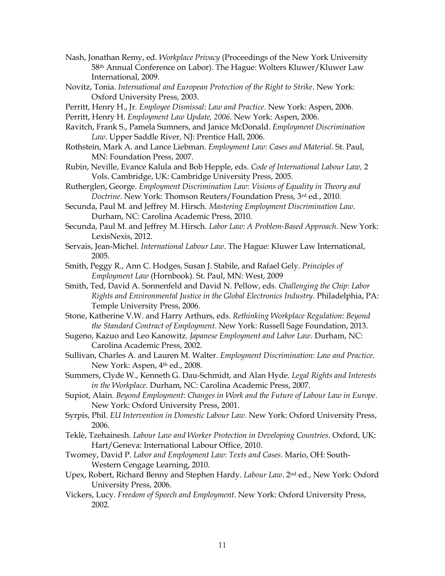- Nash, Jonathan Remy, ed. *Workplace Privacy* (Proceedings of the New York University 58th Annual Conference on Labor). The Hague: Wolters Kluwer/Kluwer Law International, 2009.
- Novitz, Tonia*. International and European Protection of the Right to Strike*. New York: Oxford University Press, 2003.
- Perritt, Henry H., Jr. *Employee Dismissal*: *Law and Practice*. New York: Aspen, 2006.

Perritt, Henry H. *Employment Law Update, 2006*. New York: Aspen, 2006.

- Ravitch, Frank S., Pamela Sumners, and Janice McDonald. *Employment Discrimination Law*. Upper Saddle River, NJ: Prentice Hall, 2006.
- Rothstein, Mark A. and Lance Liebman. *Employment Law*: *Cases and Material*. St. Paul, MN: Foundation Press, 2007.
- Rubin, Neville, Evance Kalula and Bob Hepple, eds*. Code of International Labour Law,* 2 Vols. Cambridge, UK: Cambridge University Press, 2005.
- Rutherglen, George. *Employment Discrimination Law*: *Visions of Equality in Theory and Doctrine*. New York: Thomson Reuters/Foundation Press, 3rd ed., 2010.
- Secunda, Paul M. and Jeffrey M. Hirsch. *Mastering Employment Discrimination Law*. Durham, NC: Carolina Academic Press, 2010.
- Secunda, Paul M. and Jeffrey M. Hirsch. *Labor Law*: *A Problem-Based Approach*. New York: LexisNexis, 2012.
- Servais, Jean-Michel. *International Labour Law*. The Hague: Kluwer Law International, 2005.
- Smith, Peggy R., Ann C. Hodges, Susan J. Stabile, and Rafael Gely. *Principles of Employment Law* (Hornbook). St. Paul, MN: West, 2009
- Smith, Ted, David A. Sonnenfeld and David N. Pellow, eds. *Challenging the Chip*: *Labor Rights and Environmental Justice in the Global Electronics Industry*. Philadelphia, PA: Temple University Press, 2006.
- Stone, Katherine V.W. and Harry Arthurs, eds. *Rethinking Workplace Regulation*: *Beyond the Standard Contract of Employment*. New York: Russell Sage Foundation, 2013.
- Sugeno, Kazuo and Leo Kanowitz. *Japanese Employment and Labor Law*. Durham, NC: Carolina Academic Press, 2002.
- Sullivan, Charles A. and Lauren M. Walter. *Employment Discrimination*: *Law and Practice*. New York: Aspen, 4<sup>th</sup> ed., 2008.
- Summers, Clyde W., Kenneth G. Dau-Schmidt, and Alan Hyde. *Legal Rights and Interests in the Workplace*. Durham, NC: Carolina Academic Press, 2007.
- Supiot, Alain*. Beyond Employment*: *Changes in Work and the Future of Labour Law in Europe*. New York: Oxford University Press, 2001.
- Syrpis, Phil. *EU Intervention in Domestic Labour Law*. New York: Oxford University Press, 2006.
- Teklè, Tzehainesh. *Labour Law and Worker Protection in Developing Countries*. Oxford, UK: Hart/Geneva: International Labour Office, 2010.
- Twomey, David P. *Labor and Employment Law*: *Texts and Cases*. Mario, OH: South-Western Cengage Learning, 2010.
- Upex, Robert, Richard Benny and Stephen Hardy. *Labour Law*. 2nd ed., New York: Oxford University Press, 2006.
- Vickers, Lucy. *Freedom of Speech and Employment*. New York: Oxford University Press, 2002.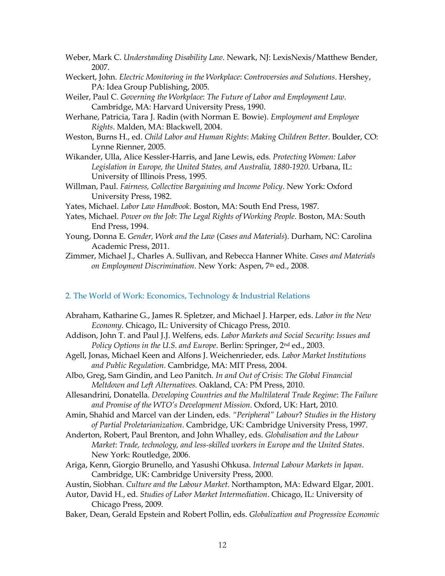Weber, Mark C. *Understanding Disability Law*. Newark, NJ: LexisNexis/Matthew Bender, 2007.

- Weckert, John. *Electric Monitoring in the Workplace*: *Controversies and Solutions*. Hershey, PA: Idea Group Publishing, 2005.
- Weiler, Paul C. *Governing the Workplace*: *The Future of Labor and Employment Law*. Cambridge, MA: Harvard University Press, 1990.
- Werhane, Patricia, Tara J. Radin (with Norman E. Bowie). *Employment and Employee Rights*. Malden, MA: Blackwell, 2004.
- Weston, Burns H., ed. *Child Labor and Human Rights*: *Making Children Better*. Boulder, CO: Lynne Rienner, 2005.
- Wikander, Ulla, Alice Kessler-Harris, and Jane Lewis, eds. *Protecting Women: Labor Legislation in Europe, the United States, and Australia, 1880-1920*. Urbana, IL: University of Illinois Press, 1995.
- Willman, Paul. *Fairness, Collective Bargaining and Income Policy*. New York: Oxford University Press, 1982.
- Yates, Michael. *Labor Law Handbook*. Boston, MA: South End Press, 1987.
- Yates, Michael. *Power on the Job*: *The Legal Rights of Working People*. Boston, MA: South End Press, 1994.
- Young, Donna E. *Gender, Work and the Law* (*Cases and Materials*). Durham, NC: Carolina Academic Press, 2011.
- Zimmer, Michael J., Charles A. Sullivan, and Rebecca Hanner White. *Cases and Materials on Employment Discrimination*. New York: Aspen, 7th ed., 2008.

## 2. The World of Work: Economics, Technology & Industrial Relations

- Abraham, Katharine G., James R. Spletzer, and Michael J. Harper, eds. *Labor in the New Economy*. Chicago, IL: University of Chicago Press, 2010.
- Addison, John T. and Paul J.J. Welfens, eds. *Labor Markets and Social Security*: *Issues and Policy Options in the U.S. and Europe*. Berlin: Springer, 2nd ed., 2003.
- Agell, Jonas, Michael Keen and Alfons J. Weichenrieder, eds. *Labor Market Institutions and Public Regulation*. Cambridge, MA: MIT Press, 2004.
- Albo, Greg, Sam Gindin, and Leo Panitch*. In and Out of Crisis*: *The Global Financial Meltdown and Left Alternatives.* Oakland, CA: PM Press, 2010.
- Allesandrini, Donatella*. Developing Countries and the Multilateral Trade Regime*: *The Failure and Promise of the WTO's Development Mission*. Oxford, UK: Hart, 2010.
- Amin, Shahid and Marcel van der Linden, eds. *"Peripheral" Labour*? *Studies in the History of Partial Proletarianization*. Cambridge, UK: Cambridge University Press, 1997.
- Anderton, Robert, Paul Brenton, and John Whalley, eds. *Globalisation and the Labour Market*: *Trade, technology, and less-skilled workers in Europe and the United States*. New York: Routledge, 2006.
- Ariga, Kenn, Giorgio Brunello, and Yasushi Ohkusa. *Internal Labour Markets in Japan*. Cambridge, UK: Cambridge University Press, 2000.
- Austin, Siobhan. *Culture and the Labour Market*. Northampton, MA: Edward Elgar, 2001.
- Autor, David H., ed. *Studies of Labor Market Intermediation*. Chicago, IL: University of Chicago Press, 2009.
- Baker, Dean, Gerald Epstein and Robert Pollin, eds. *Globalization and Progressive Economic*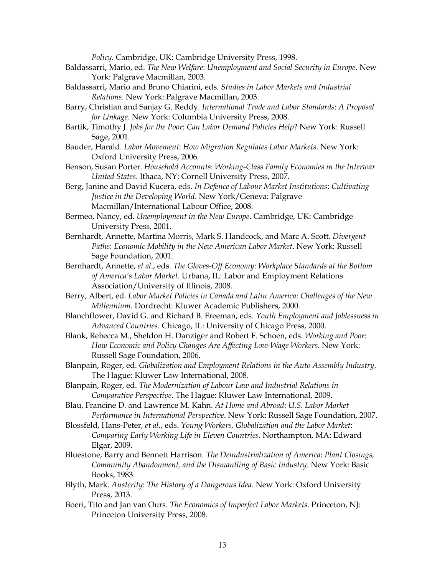*Policy*. Cambridge, UK: Cambridge University Press, 1998.

- Baldassarri, Mario, ed. *The New Welfare*: *Unemployment and Social Security in Europe*. New York: Palgrave Macmillan, 2003.
- Baldassarri, Mario and Bruno Chiarini, eds. *Studies in Labor Markets and Industrial Relations*. New York: Palgrave Macmillan, 2003.
- Barry, Christian and Sanjay G. Reddy. *International Trade and Labor Standards*: *A Proposal for Linkage*. New York: Columbia University Press, 2008.
- Bartik, Timothy J. *Jobs for the Poor*: *Can Labor Demand Policies Help*? New York: Russell Sage, 2001.
- Bauder, Harald. *Labor Movement*: *How Migration Regulates Labor Markets*. New York: Oxford University Press, 2006.
- Benson, Susan Porter. *Household Accounts*: *Working-Class Family Economies in the Interwar United States*. Ithaca, NY: Cornell University Press, 2007.
- Berg, Janine and David Kucera, eds. *In Defence of Labour Market Institutions*: *Cultivating Justice in the Developing World*. New York/Geneva: Palgrave Macmillan/International Labour Office, 2008.
- Bermeo, Nancy, ed. *Unemployment in the New Europe*. Cambridge, UK: Cambridge University Press, 2001.
- Bernhardt, Annette, Martina Morris, Mark S. Handcock, and Marc A. Scott. *Divergent Paths*: *Economic Mobility in the New American Labor Market*. New York: Russell Sage Foundation, 2001.
- Bernhardt, Annette, *et al*., eds. *The Gloves-Off Economy*: *Workplace Standards at the Bottom of America's Labor Market*. Urbana, IL: Labor and Employment Relations Association/University of Illinois, 2008.
- Berry, Albert, ed. *Labor Market Policies in Canada and Latin America*: *Challenges of the New Millennium*. Dordrecht: Kluwer Academic Publishers, 2000.
- Blanchflower, David G. and Richard B. Freeman, eds. *Youth Employment and Joblessness in Advanced Countries*. Chicago, IL: University of Chicago Press, 2000.
- Blank, Rebecca M., Sheldon H. Danziger and Robert F. Schoen, eds. *Working and Poor*: *How Economic and Policy Changes Are Affecting Low-Wage Workers*. New York: Russell Sage Foundation, 2006.
- Blanpain, Roger, ed. *Globalization and Employment Relations in the Auto Assembly Industry*. The Hague: Kluwer Law International, 2008.
- Blanpain, Roger, ed. *The Modernization of Labour Law and Industrial Relations in Comparative Perspective*. The Hague: Kluwer Law International, 2009.
- Blau, Francine D. and Lawrence M. Kahn. *At Home and Abroad*: *U.S. Labor Market Performance in International Perspective*. New York: Russell Sage Foundation, 2007.
- Blossfeld, Hans-Peter, *et al*., eds. *Young Workers, Globalization and the Labor Market*: *Comparing Early Working Life in Eleven Countries*. Northampton, MA: Edward Elgar, 2009.
- Bluestone, Barry and Bennett Harrison. *The Deindustrialization of America*: *Plant Closings, Community Abandonment, and the Dismantling of Basic Industry*. New York: Basic Books, 1983.
- Blyth, Mark. *Austerity*: *The History of a Dangerous Idea*. New York: Oxford University Press, 2013.
- Boeri, Tito and Jan van Ours. *The Economics of Imperfect Labor Markets*. Princeton, NJ: Princeton University Press, 2008.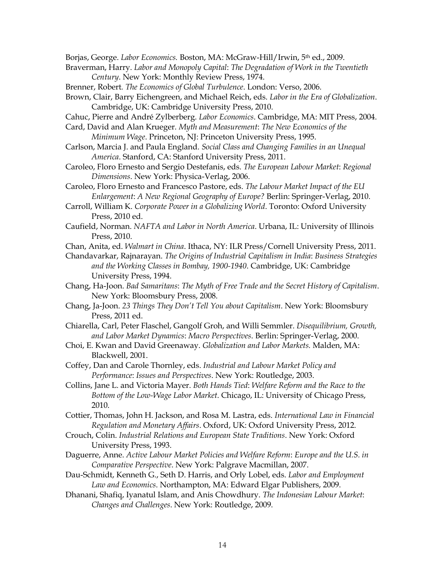Borjas, George. *Labor Economics.* Boston, MA: McGraw-Hill/Irwin, 5th ed., 2009.

- Braverman, Harry. *Labor and Monopoly Capital*: *The Degradation of Work in the Twentieth Century*. New York: Monthly Review Press, 1974.
- Brenner, Robert*. The Economics of Global Turbulence*. London: Verso, 2006.
- Brown, Clair, Barry Eichengreen, and Michael Reich, eds. *Labor in the Era of Globalization*. Cambridge, UK: Cambridge University Press, 2010.
- Cahuc, Pierre and André Zylberberg. *Labor Economics*. Cambridge, MA: MIT Press, 2004.
- Card, David and Alan Krueger. *Myth and Measurement*: *The New Economics of the* 
	- *Minimum Wage*. Princeton, NJ: Princeton University Press, 1995.
- Carlson, Marcia J. and Paula England. *Social Class and Changing Families in an Unequal America*. Stanford, CA: Stanford University Press, 2011.
- Caroleo, Floro Ernesto and Sergio Destefanis, eds. *The European Labour Market*: *Regional Dimensions*. New York: Physica-Verlag, 2006.
- Caroleo, Floro Ernesto and Francesco Pastore, eds. *The Labour Market Impact of the EU Enlargement*: *A New Regional Geography of Europe?* Berlin: Springer-Verlag, 2010.
- Carroll, William K. *Corporate Power in a Globalizing World*. Toronto: Oxford University Press, 2010 ed.
- Caufield, Norman. *NAFTA and Labor in North America*. Urbana, IL: University of Illinois Press, 2010.
- Chan, Anita, ed. *Walmart in China*. Ithaca, NY: ILR Press/Cornell University Press, 2011.
- Chandavarkar, Rajnarayan. *The Origins of Industrial Capitalism in India*: *Business Strategies and the Working Classes in Bombay, 1900-1940*. Cambridge, UK: Cambridge University Press, 1994.
- Chang, Ha-Joon. *Bad Samaritans*: *The Myth of Free Trade and the Secret History of Capitalism*. New York: Bloomsbury Press, 2008.
- Chang, Ja-Joon. *23 Things They Don't Tell You about Capitalism*. New York: Bloomsbury Press, 2011 ed.
- Chiarella, Carl, Peter Flaschel, Gangolf Groh, and Willi Semmler. *Disequilibrium, Growth, and Labor Market Dynamics*: *Macro Perspectives*. Berlin: Springer-Verlag, 2000.
- Choi, E. Kwan and David Greenaway. *Globalization and Labor Markets.* Malden, MA: Blackwell, 2001.
- Coffey, Dan and Carole Thornley, eds. *Industrial and Labour Market Policy and Performance*: *Issues and Perspectives*. New York: Routledge, 2003.
- Collins, Jane L. and Victoria Mayer. *Both Hands Tied*: *Welfare Reform and the Race to the Bottom of the Low-Wage Labor Market*. Chicago, IL: University of Chicago Press, 2010.
- Cottier, Thomas, John H. Jackson, and Rosa M. Lastra, eds. *International Law in Financial Regulation and Monetary Affairs*. Oxford, UK: Oxford University Press, 2012.
- Crouch, Colin. *Industrial Relations and European State Traditions*. New York: Oxford University Press, 1993.
- Daguerre, Anne. *Active Labour Market Policies and Welfare Reform*: *Europe and the U.S. in Comparative Perspective*. New York: Palgrave Macmillan, 2007.
- Dau-Schmidt, Kenneth G., Seth D. Harris, and Orly Lobel, eds. *Labor and Employment Law and Economics*. Northampton, MA: Edward Elgar Publishers, 2009.
- Dhanani, Shafiq, Iyanatul Islam, and Anis Chowdhury. *The Indonesian Labour Market*: *Changes and Challenges*. New York: Routledge, 2009.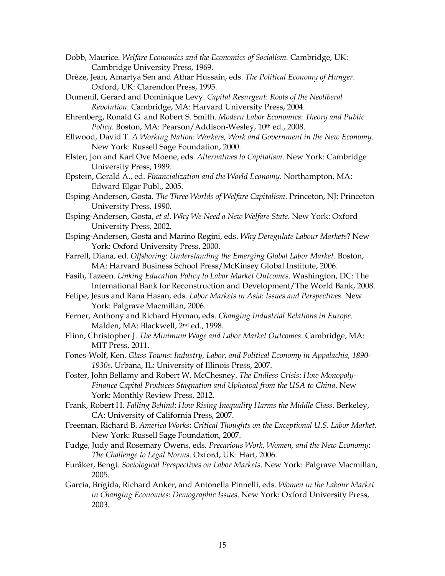- Dobb, Maurice. *Welfare Economics and the Economics of Socialism.* Cambridge, UK: Cambridge University Press, 1969.
- Drèze, Jean, Amartya Sen and Athar Hussain, eds. *The Political Economy of Hunger*. Oxford, UK: Clarendon Press, 1995.
- Dumenil, Gerard and Dominique Levy. *Capital Resurgent*: *Roots of the Neoliberal Revolution.* Cambridge, MA: Harvard University Press, 2004.
- Ehrenberg, Ronald G. and Robert S. Smith. *Modern Labor Economics*: *Theory and Public*  Policy. Boston, MA: Pearson/Addison-Wesley, 10<sup>th</sup> ed., 2008.
- Ellwood, David T. *A Working Nation*: *Workers, Work and Government in the New Economy*. New York: Russell Sage Foundation, 2000.
- Elster, Jon and Karl Ove Moene, eds. *Alternatives to Capitalism*. New York: Cambridge University Press, 1989.
- Epstein, Gerald A., ed. *Financialization and the World Economy*. Northampton, MA: Edward Elgar Publ., 2005.
- Esping-Andersen, Gøsta. *The Three Worlds of Welfare Capitalism*. Princeton, NJ: Princeton University Press, 1990.
- Esping-Andersen, Gøsta, *et al*. *Why We Need a New Welfare State*. New York: Oxford University Press, 2002.
- Esping-Andersen, Gøsta and Marino Regini, eds. *Why Deregulate Labour Markets*? New York: Oxford University Press, 2000.
- Farrell, Diana, ed. *Offshoring*: *Understanding the Emerging Global Labor Market*. Boston, MA: Harvard Business School Press/McKinsey Global Institute, 2006.
- Fasih, Tazeen. *Linking Education Policy to Labor Market Outcomes*. Washington, DC: The International Bank for Reconstruction and Development/The World Bank, 2008.
- Felipe, Jesus and Rana Hasan, eds. *Labor Markets in Asia*: *Issues and Perspectives*. New York: Palgrave Macmillan, 2006.
- Ferner, Anthony and Richard Hyman, eds. *Changing Industrial Relations in Europe*. Malden, MA: Blackwell, 2nd ed., 1998.
- Flinn, Christopher J. *The Minimum Wage and Labor Market Outcomes*. Cambridge, MA: MIT Press, 2011.
- Fones-Wolf, Ken*. Glass Towns*: *Industry, Labor, and Political Economy in Appalachia, 1890- 1930s*. Urbana, IL: University of Illinois Press, 2007.
- Foster, John Bellamy and Robert W. McChesney. *The Endless Crisis*: *How Monopoly-Finance Capital Produces Stagnation and Upheaval from the USA to China*. New York: Monthly Review Press, 2012.
- Frank, Robert H. *Falling Behind*: *How Rising Inequality Harms the Middle Class*. Berkeley, CA: University of California Press, 2007.
- Freeman, Richard B. *America Works*: *Critical Thoughts on the Exceptional U*.*S*. *Labor Market*. New York: Russell Sage Foundation, 2007.
- Fudge, Judy and Rosemary Owens, eds. *Precarious Work, Women, and the New Economy*: *The Challenge to Legal Norms*. Oxford, UK: Hart, 2006.
- Furåker, Bengt. *Sociological Perspectives on Labor Markets*. New York: Palgrave Macmillan, 2005.
- García, Brígida, Richard Anker, and Antonella Pinnelli, eds. *Women in the Labour Market in Changing Economies*: *Demographic Issues*. New York: Oxford University Press, 2003.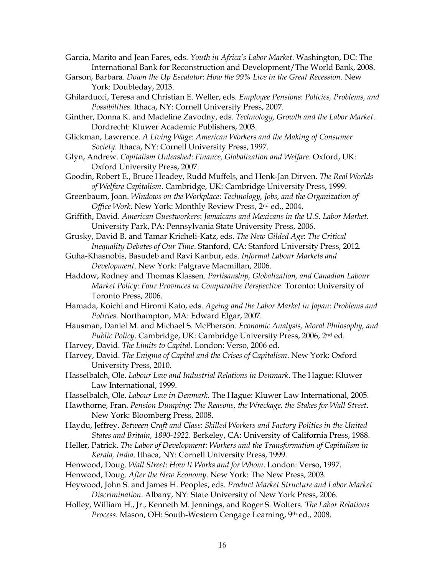Garcia, Marito and Jean Fares, eds. *Youth in Africa's Labor Market*. Washington, DC: The International Bank for Reconstruction and Development/The World Bank, 2008.

- Garson, Barbara. *Down the Up Escalator*: *How the 99% Live in the Great Recession*. New York: Doubleday, 2013.
- Ghilarducci, Teresa and Christian E. Weller, eds. *Employee Pensions*: *Policies, Problems, and Possibilities*. Ithaca, NY: Cornell University Press, 2007.

Ginther, Donna K. and Madeline Zavodny, eds. *Technology, Growth and the Labor Market*. Dordrecht: Kluwer Academic Publishers, 2003.

Glickman, Lawrence. *A Living Wage*: *American Workers and the Making of Consumer Society*. Ithaca, NY: Cornell University Press, 1997.

Glyn, Andrew. *Capitalism Unleashed*: *Finance, Globalization and Welfare*. Oxford, UK: Oxford University Press, 2007.

Goodin, Robert E., Bruce Headey, Rudd Muffels, and Henk-Jan Dirven. *The Real Worlds of Welfare Capitalism*. Cambridge, UK: Cambridge University Press, 1999.

- Greenbaum, Joan. *Windows on the Workplace*: *Technology, Jobs, and the Organization of Office Work*. New York: Monthly Review Press, 2nd ed., 2004.
- Griffith, David. *American Guestworkers*: *Jamaicans and Mexicans in the U.S. Labor Market*. University Park, PA: Pennsylvania State University Press, 2006.
- Grusky, David B. and Tamar Kricheli-Katz, eds. *The New Gilded Age*: *The Critical Inequality Debates of Our Time*. Stanford, CA: Stanford University Press, 2012.
- Guha-Khasnobis, Basudeb and Ravi Kanbur, eds. *Informal Labour Markets and Development*. New York: Palgrave Macmillan, 2006.
- Haddow, Rodney and Thomas Klassen. *Partisanship, Globalization, and Canadian Labour Market Policy*: *Four Provinces in Comparative Perspective*. Toronto: University of Toronto Press, 2006.
- Hamada, Koichi and Hiromi Kato, eds. *Ageing and the Labor Market in Japan*: *Problems and Policies*. Northampton, MA: Edward Elgar, 2007.
- Hausman, Daniel M. and Michael S. McPherson. *Economic Analysis, Moral Philosophy, and Public Policy*. Cambridge, UK: Cambridge University Press, 2006, 2nd ed.

Harvey, David. *The Limits to Capital*. London: Verso, 2006 ed.

- Harvey, David. *The Enigma of Capital and the Crises of Capitalism*. New York: Oxford University Press, 2010.
- Hasselbalch, Ole. *Labour Law and Industrial Relations in Denmark*. The Hague: Kluwer Law International, 1999.

Hasselbalch, Ole. *Labour Law in Denmark*. The Hague: Kluwer Law International, 2005.

Hawthorne, Fran. *Pension Dumping*: *The Reasons, the Wreckage, the Stakes for Wall Street*. New York: Bloomberg Press, 2008.

Haydu, Jeffrey. *Between Craft and Class*: *Skilled Workers and Factory Politics in the United States and Britain, 1890-1922*. Berkeley, CA: University of California Press, 1988.

- Heller, Patrick. *The Labor of Development*: *Workers and the Transformation of Capitalism in Kerala, India*. Ithaca, NY: Cornell University Press, 1999.
- Henwood, Doug. *Wall Street*: *How It Works and for Whom*. London: Verso, 1997.

Henwood, Doug. *After the New Economy*. New York: The New Press, 2003.

- Heywood, John S. and James H. Peoples, eds. *Product Market Structure and Labor Market Discrimination*. Albany, NY: State University of New York Press, 2006.
- Holley, William H., Jr., Kenneth M. Jennings, and Roger S. Wolters. *The Labor Relations Process*. Mason, OH: South-Western Cengage Learning, 9th ed., 2008.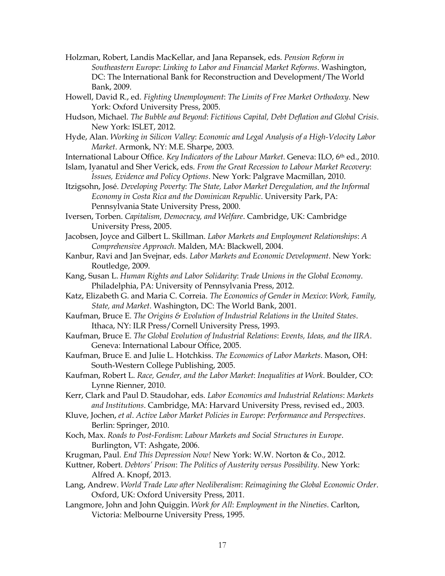- Holzman, Robert, Landis MacKellar, and Jana Repansek, eds. *Pension Reform in Southeastern Europe*: *Linking to Labor and Financial Market Reforms*. Washington, DC: The International Bank for Reconstruction and Development/The World Bank, 2009.
- Howell, David R., ed. *Fighting Unemployment*: *The Limits of Free Market Orthodoxy*. New York: Oxford University Press, 2005.
- Hudson, Michael. *The Bubble and Beyond*: *Fictitious Capital, Debt Deflation and Global Crisis*. New York: ISLET, 2012.
- Hyde, Alan. *Working in Silicon Valley*: *Economic and Legal Analysis of a High-Velocity Labor Market*. Armonk, NY: M.E. Sharpe, 2003.
- International Labour Office. *Key Indicators of the Labour Market*. Geneva: ILO, 6th ed., 2010.
- Islam, Iyanatul and Sher Verick, eds. *From the Great Recession to Labour Market Recovery*: *Issues, Evidence and Policy Options*. New York: Palgrave Macmillan, 2010.
- Itzigsohn, José. *Developing Poverty*: *The State, Labor Market Deregulation, and the Informal Economy in Costa Rica and the Dominican Republic*. University Park, PA: Pennsylvania State University Press, 2000.
- Iversen, Torben. *Capitalism, Democracy, and Welfare*. Cambridge, UK: Cambridge University Press, 2005.
- Jacobsen, Joyce and Gilbert L. Skillman. *Labor Markets and Employment Relationships*: *A Comprehensive Approach*. Malden, MA: Blackwell, 2004.
- Kanbur, Ravi and Jan Svejnar, eds. *Labor Markets and Economic Development*. New York: Routledge, 2009.
- Kang, Susan L. *Human Rights and Labor Solidarity*: *Trade Unions in the Global Economy*. Philadelphia, PA: University of Pennsylvania Press, 2012.
- Katz, Elizabeth G. and Maria C. Correia. *The Economics of Gender in Mexico*: *Work, Family, State, and Market*. Washington, DC: The World Bank, 2001.
- Kaufman, Bruce E. *The Origins & Evolution of Industrial Relations in the United States*. Ithaca, NY: ILR Press/Cornell University Press, 1993.
- Kaufman, Bruce E. *The Global Evolution of Industrial Relations*: *Events, Ideas, and the IIRA*. Geneva: International Labour Office, 2005.
- Kaufman, Bruce E. and Julie L. Hotchkiss. *The Economics of Labor Markets*. Mason, OH: South-Western College Publishing, 2005.
- Kaufman, Robert L. *Race, Gender, and the Labor Market*: *Inequalities at Work*. Boulder, CO: Lynne Rienner, 2010.
- Kerr, Clark and Paul D. Staudohar, eds. *Labor Economics and Industrial Relations*: *Markets and Institutions*. Cambridge, MA: Harvard University Press, revised ed., 2003.
- Kluve, Jochen, *et al*. *Active Labor Market Policies in Europe*: *Performance and Perspectives*. Berlin: Springer, 2010.
- Koch, Max. *Roads to Post-Fordism*: *Labour Markets and Social Structures in Europe*. Burlington, VT: Ashgate, 2006.
- Krugman, Paul. *End This Depression Now!* New York: W.W. Norton & Co., 2012.
- Kuttner, Robert. *Debtors' Prison*: *The Politics of Austerity versus Possibility*. New York: Alfred A. Knopf, 2013.
- Lang, Andrew. *World Trade Law after Neoliberalism*: *Reimagining the Global Economic Order*. Oxford, UK: Oxford University Press, 2011.
- Langmore, John and John Quiggin. *Work for All*: *Employment in the Nineties*. Carlton, Victoria: Melbourne University Press, 1995.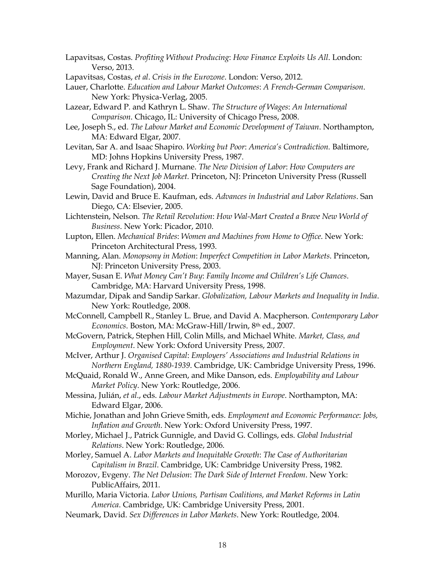Lapavitsas, Costas. *Profiting Without Producing*: *How Finance Exploits Us All*. London: Verso, 2013.

- Lapavitsas, Costas, *et al*. *Crisis in the Eurozone*. London: Verso, 2012.
- Lauer, Charlotte. *Education and Labour Market Outcomes*: *A French-German Comparison*. New York: Physica-Verlag, 2005.
- Lazear, Edward P. and Kathryn L. Shaw. *The Structure of Wages*: *An International Comparison*. Chicago, IL: University of Chicago Press, 2008.
- Lee, Joseph S., ed. *The Labour Market and Economic Development of Taiwan*. Northampton, MA: Edward Elgar, 2007.
- Levitan, Sar A. and Isaac Shapiro. *Working but Poor*: *America's Contradiction.* Baltimore, MD: Johns Hopkins University Press, 1987.
- Levy, Frank and Richard J. Murnane. *The New Division of Labor*: *How Computers are Creating the Next Job Market.* Princeton, NJ: Princeton University Press (Russell Sage Foundation), 2004.
- Lewin, David and Bruce E. Kaufman, eds. *Advances in Industrial and Labor Relations*. San Diego, CA: Elsevier, 2005.
- Lichtenstein, Nelson. *The Retail Revolution*: *How Wal-Mart Created a Brave New World of Business*. New York: Picador, 2010.
- Lupton, Ellen. *Mechanical Brides*: *Women and Machines from Home to Office*. New York: Princeton Architectural Press, 1993.
- Manning, Alan. *Monopsony in Motion*: *Imperfect Competition in Labor Markets*. Princeton, NJ: Princeton University Press, 2003.
- Mayer, Susan E. *What Money Can't Buy*: *Family Income and Children's Life Chances*. Cambridge, MA: Harvard University Press, 1998.
- Mazumdar, Dipak and Sandip Sarkar. *Globalization, Labour Markets and Inequality in India*. New York: Routledge, 2008.
- McConnell, Campbell R., Stanley L. Brue, and David A. Macpherson. *Contemporary Labor Economics*. Boston, MA: McGraw-Hill/Irwin, 8th ed., 2007.
- McGovern, Patrick, Stephen Hill, Colin Mills, and Michael White. *Market, Class, and Employment*. New York: Oxford University Press, 2007.
- McIver, Arthur J. *Organised Capital*: *Employers' Associations and Industrial Relations in Northern England, 1880-1939*. Cambridge, UK: Cambridge University Press, 1996.
- McQuaid, Ronald W., Anne Green, and Mike Danson, eds. *Employability and Labour Market Policy*. New York: Routledge, 2006.
- Messina, Julián, *et al*., eds. *Labour Market Adjustments in Europe*. Northampton, MA: Edward Elgar, 2006.
- Michie, Jonathan and John Grieve Smith, eds. *Employment and Economic Performance*: *Jobs, Inflation and Growth*. New York: Oxford University Press, 1997.
- Morley, Michael J., Patrick Gunnigle, and David G. Collings, eds. *Global Industrial Relations*. New York: Routledge, 2006.
- Morley, Samuel A. *Labor Markets and Inequitable Growth*: *The Case of Authoritarian Capitalism in Brazil*. Cambridge, UK: Cambridge University Press, 1982.
- Morozov, Evgeny. *The Net Delusion*: *The Dark Side of Internet Freedom*. New York: PublicAffairs, 2011.
- Murillo, Maria Victoria. *Labor Unions, Partisan Coalitions, and Market Reforms in Latin America*. Cambridge, UK: Cambridge University Press, 2001.
- Neumark, David. *Sex Differences in Labor Markets*. New York: Routledge, 2004.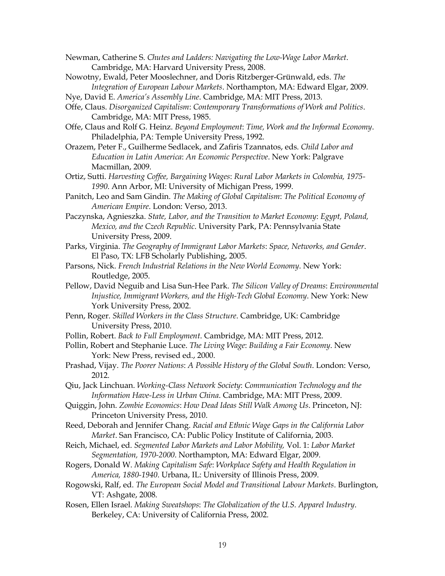Newman, Catherine S. *Chutes and Ladders: Navigating the Low-Wage Labor Market*. Cambridge, MA: Harvard University Press, 2008.

- Nowotny, Ewald, Peter Mooslechner, and Doris Ritzberger-Grünwald, eds. *The Integration of European Labour Markets*. Northampton, MA: Edward Elgar, 2009.
- Nye, David E. *America's Assembly Line*. Cambridge, MA: MIT Press, 2013.
- Offe, Claus. *Disorganized Capitalism*: *Contemporary Transformations of Work and Politics*. Cambridge, MA: MIT Press, 1985.
- Offe, Claus and Rolf G. Heinz. *Beyond Employment*: *Time, Work and the Informal Economy*. Philadelphia, PA: Temple University Press, 1992.
- Orazem, Peter F., Guilherme Sedlacek, and Zafiris Tzannatos, eds. *Child Labor and Education in Latin America*: *An Economic Perspective*. New York: Palgrave Macmillan, 2009.
- Ortiz, Sutti. *Harvesting Coffee, Bargaining Wages*: *Rural Labor Markets in Colombia, 1975- 1990*. Ann Arbor, MI: University of Michigan Press, 1999.
- Panitch, Leo and Sam Gindin. *The Making of Global Capitalism*: *The Political Economy of American Empire*. London: Verso, 2013.
- Paczynska, Agnieszka. *State, Labor, and the Transition to Market Economy*: *Egypt, Poland, Mexico, and the Czech Republic*. University Park, PA: Pennsylvania State University Press, 2009.
- Parks, Virginia. *The Geography of Immigrant Labor Markets*: *Space, Networks, and Gender*. El Paso, TX: LFB Scholarly Publishing, 2005.
- Parsons, Nick. *French Industrial Relations in the New World Economy*. New York: Routledge, 2005.
- Pellow, David Neguib and Lisa Sun-Hee Park. *The Silicon Valley of Dreams*: *Environmental Injustice, Immigrant Workers, and the High-Tech Global Economy*. New York: New York University Press, 2002.
- Penn, Roger. *Skilled Workers in the Class Structure*. Cambridge, UK: Cambridge University Press, 2010.
- Pollin, Robert. *Back to Full Employment*. Cambridge, MA: MIT Press, 2012.
- Pollin, Robert and Stephanie Luce. *The Living Wage*: *Building a Fair Economy*. New York: New Press, revised ed., 2000.
- Prashad, Vijay. *The Poorer Nations*: *A Possible History of the Global South*. London: Verso, 2012.
- Qiu, Jack Linchuan. *Working-Class Network Society*: *Communication Technology and the Information Have-Less in Urban China*. Cambridge, MA: MIT Press, 2009.
- Quiggin, John. *Zombie Economics*: *How Dead Ideas Still Walk Among Us*. Princeton, NJ: Princeton University Press, 2010.
- Reed, Deborah and Jennifer Chang. *Racial and Ethnic Wage Gaps in the California Labor Market*. San Francisco, CA: Public Policy Institute of California, 2003.
- Reich, Michael, ed. *Segmented Labor Markets and Labor Mobility,* Vol. 1: *Labor Market Segmentation, 1970-2000*. Northampton, MA: Edward Elgar, 2009.
- Rogers, Donald W. *Making Capitalism Safe*: *Workplace Safety and Health Regulation in America, 1880-1940*. Urbana, IL: University of Illinois Press, 2009.
- Rogowski, Ralf, ed. *The European Social Model and Transitional Labour Markets*. Burlington, VT: Ashgate, 2008.
- Rosen, Ellen Israel. *Making Sweatshops*: *The Globalization of the U.S. Apparel Industry*. Berkeley, CA: University of California Press, 2002.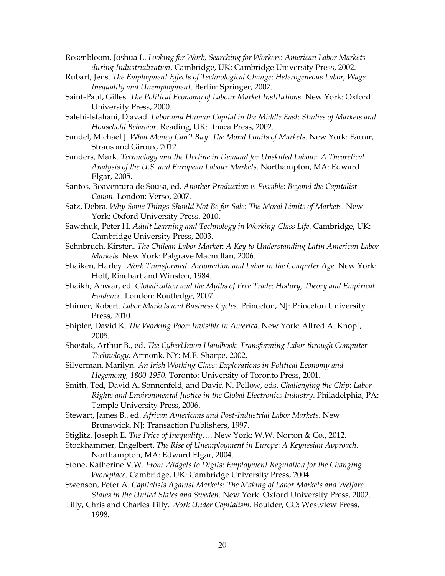Rosenbloom, Joshua L. *Looking for Work, Searching for Workers*: *American Labor Markets during Industrialization*. Cambridge, UK: Cambridge University Press, 2002.

- Rubart, Jens. *The Employment Effects of Technological Change*: *Heterogeneous Labor, Wage Inequality and Unemployment*. Berlin: Springer, 2007.
- Saint-Paul, Gilles. *The Political Economy of Labour Market Institutions*. New York: Oxford University Press, 2000.
- Salehi-Isfahani, Djavad. *Labor and Human Capital in the Middle East*: *Studies of Markets and Household Behavior*. Reading, UK: Ithaca Press, 2002.
- Sandel, Michael J. *What Money Can't Buy*: *The Moral Limits of Markets*. New York: Farrar, Straus and Giroux, 2012.
- Sanders, Mark. *Technology and the Decline in Demand for Unskilled Labour*: *A Theoretical Analysis of the U.S. and European Labour Markets*. Northampton, MA: Edward Elgar, 2005.
- Santos, Boaventura de Sousa, ed. *Another Production is Possible*: *Beyond the Capitalist Canon*. London: Verso, 2007.
- Satz, Debra. *Why Some Things Should Not Be for Sale*: *The Moral Limits of Markets*. New York: Oxford University Press, 2010.
- Sawchuk, Peter H. *Adult Learning and Technology in Working-Class Life*. Cambridge, UK: Cambridge University Press, 2003.
- Sehnbruch, Kirsten. *The Chilean Labor Market*: *A Key to Understanding Latin American Labor Markets*. New York: Palgrave Macmillan, 2006.
- Shaiken, Harley. *Work Transformed*: *Automation and Labor in the Computer Age*. New York: Holt, Rinehart and Winston, 1984.
- Shaikh, Anwar, ed. *Globalization and the Myths of Free Trade*: *History, Theory and Empirical Evidence*. London: Routledge, 2007.
- Shimer, Robert. *Labor Markets and Business Cycles*. Princeton, NJ: Princeton University Press, 2010.
- Shipler, David K. *The Working Poor*: *Invisible in America*. New York: Alfred A. Knopf, 2005.
- Shostak, Arthur B., ed. *The CyberUnion Handbook*: *Transforming Labor through Computer Technology*. Armonk, NY: M.E. Sharpe, 2002.
- Silverman, Marilyn. *An Irish Working Class*: *Explorations in Political Economy and Hegemony, 1800-1950*. Toronto: University of Toronto Press, 2001.
- Smith, Ted, David A. Sonnenfeld, and David N. Pellow, eds. *Challenging the Chip*: *Labor Rights and Environmental Justice in the Global Electronics Industry*. Philadelphia, PA: Temple University Press, 2006.
- Stewart, James B., ed. *African Americans and Post-Industrial Labor Markets*. New Brunswick, NJ: Transaction Publishers, 1997.
- Stiglitz, Joseph E. *The Price of Inequality…*. New York: W.W. Norton & Co., 2012.
- Stockhammer, Engelbert. *The Rise of Unemployment in Europe*: *A Keynesian Approach*. Northampton, MA: Edward Elgar, 2004.
- Stone, Katherine V.W. *From Widgets to Digits*: *Employment Regulation for the Changing Workplace.* Cambridge, UK: Cambridge University Press, 2004.
- Swenson, Peter A. *Capitalists Against Markets*: *The Making of Labor Markets and Welfare States in the United States and Sweden*. New York: Oxford University Press, 2002.
- Tilly, Chris and Charles Tilly. *Work Under Capitalism*. Boulder, CO: Westview Press, 1998.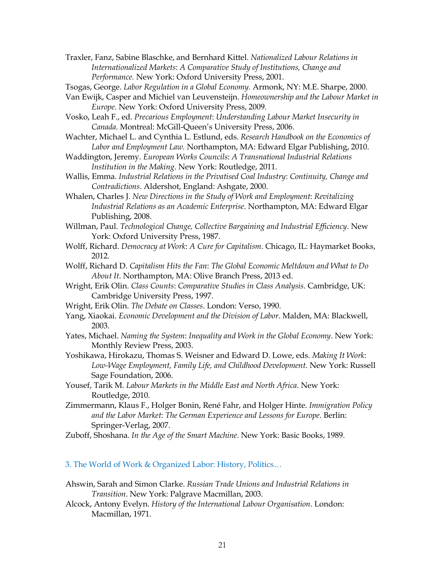Traxler, Fanz, Sabine Blaschke, and Bernhard Kittel. *Nationalized Labour Relations in Internationalized Markets*: *A Comparative Study of Institutions, Change and Performance.* New York: Oxford University Press, 2001.

Tsogas, George. *Labor Regulation in a Global Economy.* Armonk, NY: M.E. Sharpe, 2000.

- Van Ewijk, Casper and Michiel van Leuvensteijn. *Homeownership and the Labour Market in Europe*. New York: Oxford University Press, 2009.
- Vosko, Leah F., ed. *Precarious Employment*: *Understanding Labour Market Insecurity in Canada.* Montreal: McGill-Queen's University Press, 2006.
- Wachter, Michael L. and Cynthia L. Estlund, eds. *Research Handbook on the Economics of Labor and Employment Law.* Northampton, MA: Edward Elgar Publishing, 2010.
- Waddington, Jeremy. *European Works Councils*: *A Transnational Industrial Relations Institution in the Making*. New York: Routledge, 2011.
- Wallis, Emma. *Industrial Relations in the Privatised Coal Industry*: *Continuity, Change and Contradictions*. Aldershot, England: Ashgate, 2000.
- Whalen, Charles J. *New Directions in the Study of Work and Employment*: *Revitalizing Industrial Relations as an Academic Enterprise*. Northampton, MA: Edward Elgar Publishing, 2008.
- Willman, Paul. *Technological Change, Collective Bargaining and Industrial Efficiency*. New York: Oxford University Press, 1987.
- Wolff, Richard. *Democracy at Work*: *A Cure for Capitalism*. Chicago, IL: Haymarket Books, 2012.
- Wolff, Richard D. *Capitalism Hits the Fan*: *The Global Economic Meltdown and What to Do About It*. Northampton, MA: Olive Branch Press, 2013 ed.
- Wright, Erik Olin. *Class Counts*: *Comparative Studies in Class Analysis*. Cambridge, UK: Cambridge University Press, 1997.
- Wright, Erik Olin. *The Debate on Classes*. London: Verso, 1990.
- Yang, Xiaokai. *Economic Development and the Division of Labor*. Malden, MA: Blackwell, 2003.
- Yates, Michael. *Naming the System*: *Inequality and Work in the Global Economy*. New York: Monthly Review Press, 2003.
- Yoshikawa, Hirokazu, Thomas S. Weisner and Edward D. Lowe, eds. *Making It Work*: *Low-Wage Employment, Family Life, and Childhood Development.* New York: Russell Sage Foundation, 2006.
- Yousef, Tarik M. *Labour Markets in the Middle East and North Africa*. New York: Routledge, 2010.
- Zimmermann, Klaus F., Holger Bonin, René Fahr, and Holger Hinte. *Immigration Policy and the Labor Market*: *The German Experience and Lessons for Europe*. Berlin: Springer-Verlag, 2007.
- Zuboff, Shoshana. *In the Age of the Smart Machine*. New York: Basic Books, 1989.

#### 3. The World of Work & Organized Labor: History, Politics…

- Ahswin, Sarah and Simon Clarke. *Russian Trade Unions and Industrial Relations in Transition*. New York: Palgrave Macmillan, 2003.
- Alcock, Antony Evelyn. *History of the International Labour Organisation*. London: Macmillan, 1971.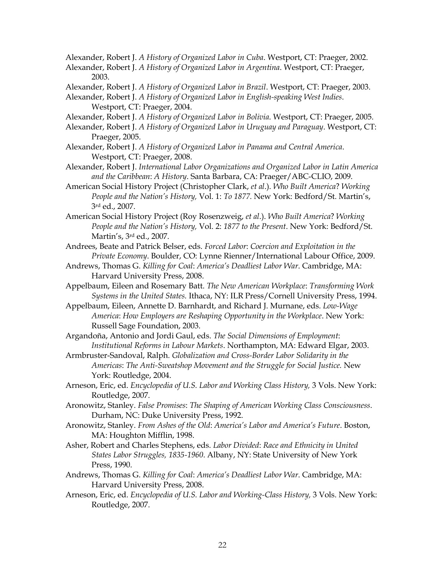Alexander, Robert J. *A History of Organized Labor in Cuba*. Westport, CT: Praeger, 2002.

- Alexander, Robert J. *A History of Organized Labor in Argentina*. Westport, CT: Praeger, 2003.
- Alexander, Robert J. *A History of Organized Labor in Brazil*. Westport, CT: Praeger, 2003.
- Alexander, Robert J. *A History of Organized Labor in English-speaking West Indies*. Westport, CT: Praeger, 2004.
- Alexander, Robert J. *A History of Organized Labor in Bolivia*. Westport, CT: Praeger, 2005.
- Alexander, Robert J. *A History of Organized Labor in Uruguay and Paraguay*. Westport, CT: Praeger, 2005.
- Alexander, Robert J. *A History of Organized Labor in Panama and Central America*. Westport, CT: Praeger, 2008.
- Alexander, Robert J. *International Labor Organizations and Organized Labor in Latin America and the Caribbean*: *A History*. Santa Barbara, CA: Praeger/ABC-CLIO, 2009.
- American Social History Project (Christopher Clark, *et al*.). *Who Built America*? *Working People and the Nation's History,* Vol. 1: *To 1877.* New York: Bedford/St. Martin's, 3rd ed., 2007.
- American Social History Project (Roy Rosenzweig, *et al*.). *Who Built America*? *Working People and the Nation's History,* Vol. 2: *1877 to the Present*. New York: Bedford/St. Martin's, 3rd ed., 2007.
- Andrees, Beate and Patrick Belser, eds. *Forced Labor*: *Coercion and Exploitation in the Private Economy*. Boulder, CO: Lynne Rienner/International Labour Office, 2009.
- Andrews, Thomas G. *Killing for Coal*: *America's Deadliest Labor War*. Cambridge, MA: Harvard University Press, 2008.
- Appelbaum, Eileen and Rosemary Batt. *The New American Workplace*: *Transforming Work Systems in the United States.* Ithaca, NY: ILR Press/Cornell University Press, 1994.
- Appelbaum, Eileen, Annette D. Barnhardt, and Richard J. Murnane, eds. *Low-Wage America*: *How Employers are Reshaping Opportunity in the Workplace*. New York: Russell Sage Foundation, 2003.
- Argandoña, Antonio and Jordi Gaul, eds. *The Social Dimensions of Employment*: *Institutional Reforms in Labour Markets*. Northampton, MA: Edward Elgar, 2003.
- Armbruster-Sandoval, Ralph*. Globalization and Cross-Border Labor Solidarity in the Americas*: *The Anti-Sweatshop Movement and the Struggle for Social Justice.* New York: Routledge, 2004.
- Arneson, Eric, ed. *Encyclopedia of U.S. Labor and Working Class History,* 3 Vols. New York: Routledge, 2007.
- Aronowitz, Stanley. *False Promises*: *The Shaping of American Working Class Consciousness*. Durham, NC: Duke University Press, 1992.
- Aronowitz, Stanley. *From Ashes of the Old*: *America's Labor and America's Future*. Boston, MA: Houghton Mifflin, 1998.
- Asher, Robert and Charles Stephens, eds. *Labor Divided*: *Race and Ethnicity in United States Labor Struggles, 1835-1960*. Albany, NY: State University of New York Press, 1990.
- Andrews, Thomas G. *Killing for Coal*: *America's Deadliest Labor War*. Cambridge, MA: Harvard University Press, 2008.
- Arneson, Eric, ed. *Encyclopedia of U.S. Labor and Working-Class History,* 3 Vols. New York: Routledge, 2007.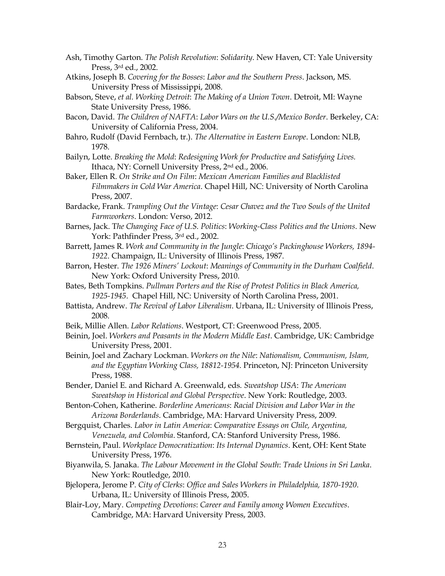- Ash, Timothy Garton. *The Polish Revolution*: *Solidarity*. New Haven, CT: Yale University Press, 3rd ed., 2002.
- Atkins, Joseph B. *Covering for the Bosses*: *Labor and the Southern Press*. Jackson, MS. University Press of Mississippi, 2008.
- Babson, Steve, *et al. Working Detroit*: *The Making of a Union Town*. Detroit, MI: Wayne State University Press, 1986.
- Bacon, David. *The Children of NAFTA*: *Labor Wars on the U.S./Mexico Border*. Berkeley, CA: University of California Press, 2004.
- Bahro, Rudolf (David Fernbach, tr.). *The Alternative in Eastern Europe*. London: NLB, 1978.
- Bailyn, Lotte. *Breaking the Mold*: *Redesigning Work for Productive and Satisfying Lives.* Ithaca, NY: Cornell University Press, 2nd ed., 2006.
- Baker, Ellen R. *On Strike and On Film*: *Mexican American Families and Blacklisted Filmmakers in Cold War America*. Chapel Hill, NC: University of North Carolina Press, 2007.
- Bardacke, Frank. *Trampling Out the Vintage*: *Cesar Chavez and the Two Souls of the United Farmworkers*. London: Verso, 2012.
- Barnes, Jack. T*he Changing Face of U.S. Politics*: *Working-Class Politics and the Unions*. New York: Pathfinder Press, 3rd ed., 2002.
- Barrett, James R. *Work and Community in the Jungle*: *Chicago's Packinghouse Workers, 1894- 1922*. Champaign, IL: University of Illinois Press, 1987.
- Barron, Hester. *The 1926 Miners' Lockout*: *Meanings of Community in the Durham Coalfield*. New York: Oxford University Press, 2010.
- Bates, Beth Tompkins. *Pullman Porters and the Rise of Protest Politics in Black America, 1925-1945*. Chapel Hill, NC: University of North Carolina Press, 2001.
- Battista, Andrew. *The Revival of Labor Liberalism*. Urbana, IL: University of Illinois Press, 2008.
- Beik, Millie Allen. *Labor Relations*. Westport, CT: Greenwood Press, 2005.
- Beinin, Joel. *Workers and Peasants in the Modern Middle East*. Cambridge, UK: Cambridge University Press, 2001.
- Beinin, Joel and Zachary Lockman. *Workers on the Nile*: *Nationalism, Communism, Islam, and the Egyptian Working Class, 18812-1954*. Princeton, NJ: Princeton University Press, 1988.
- Bender, Daniel E. and Richard A. Greenwald, eds. *Sweatshop USA*: *The American Sweatshop in Historical and Global Perspective*. New York: Routledge, 2003.
- Benton-Cohen, Katherine. *Borderline Americans*: *Racial Division and Labor War in the Arizona Borderlands*. Cambridge, MA: Harvard University Press, 2009.
- Bergquist, Charles. *Labor in Latin America*: *Comparative Essays on Chile, Argentina, Venezuela, and Colombia*. Stanford, CA: Stanford University Press, 1986.
- Bernstein, Paul. *Workplace Democratization*: *Its Internal Dynamics*. Kent, OH: Kent State University Press, 1976.
- Biyanwila, S. Janaka. *The Labour Movement in the Global South*: *Trade Unions in Sri Lanka*. New York: Routledge, 2010.
- Bjelopera, Jerome P. *City of Clerks*: *Office and Sales Workers in Philadelphia, 1870-1920*. Urbana, IL: University of Illinois Press, 2005.
- Blair-Loy, Mary. *Competing Devotions*: *Career and Family among Women Executives*. Cambridge, MA: Harvard University Press, 2003.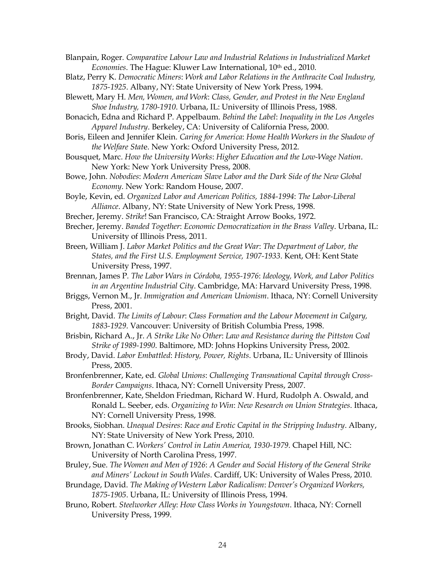Blanpain, Roger*. Comparative Labour Law and Industrial Relations in Industrialized Market Economies*. The Hague: Kluwer Law International, 10th ed., 2010.

- Blatz, Perry K. *Democratic Miners*: *Work and Labor Relations in the Anthracite Coal Industry, 1875-1925*. Albany, NY: State University of New York Press, 1994.
- Blewett, Mary H. *Men, Women, and Work*: *Class, Gender, and Protest in the New England Shoe Industry, 1780-1910*. Urbana, IL: University of Illinois Press, 1988.

Bonacich, Edna and Richard P. Appelbaum. *Behind the Label*: *Inequality in the Los Angeles Apparel Industry*. Berkeley, CA: University of California Press, 2000.

Boris, Eileen and Jennifer Klein. *Caring for America*: *Home Health Workers in the Shadow of the Welfare Stat*e. New York: Oxford University Press, 2012.

Bousquet, Marc. *How the University Works*: *Higher Education and the Low-Wage Nation*. New York: New York University Press, 2008.

Bowe, John. *Nobodies*: *Modern American Slave Labor and the Dark Side of the New Global Economy*. New York: Random House, 2007.

Boyle, Kevin, ed. *Organized Labor and American Politics, 1884-1994*: *The Labor-Liberal Alliance*. Albany, NY: State University of New York Press, 1998.

Brecher, Jeremy. *Strike*! San Francisco, CA: Straight Arrow Books, 1972.

Brecher, Jeremy. *Banded Together*: *Economic Democratization in the Brass Valley*. Urbana, IL: University of Illinois Press, 2011.

Breen, William J. *Labor Market Politics and the Great War*: *The Department of Labor, the States, and the First U.S. Employment Service, 1907-1933*. Kent, OH: Kent State University Press, 1997.

Brennan, James P*. The Labor Wars in Córdoba, 1955-1976*: *Ideology, Work, and Labor Politics in an Argentine Industrial City*. Cambridge, MA: Harvard University Press, 1998.

Briggs, Vernon M., Jr. *Immigration and American Unionism*. Ithaca, NY: Cornell University Press, 2001.

Bright, David. *The Limits of Labour*: *Class Formation and the Labour Movement in Calgary, 1883-1929*. Vancouver: University of British Columbia Press, 1998.

Brisbin, Richard A., Jr. *A Strike Like No Other*: *Law and Resistance during the Pittston Coal Strike of 1989-1990*. Baltimore, MD: Johns Hopkins University Press, 2002.

Brody, David. *Labor Embattled*: *History, Power, Rights*. Urbana, IL: University of Illinois Press, 2005.

Bronfenbrenner, Kate, ed*. Global Unions*: *Challenging Transnational Capital through Cross-Border Campaigns*. Ithaca, NY: Cornell University Press, 2007.

Bronfenbrenner, Kate, Sheldon Friedman, Richard W. Hurd, Rudolph A. Oswald, and Ronald L. Seeber, eds. *Organizing to Win*: *New Research on Union Strategies*. Ithaca, NY: Cornell University Press, 1998.

Brooks, Siobhan. *Unequal Desires*: *Race and Erotic Capital in the Stripping Industry*. Albany, NY: State University of New York Press, 2010.

Brown, Jonathan C. *Workers' Control in Latin America, 1930-1979*. Chapel Hill, NC: University of North Carolina Press, 1997.

Bruley, Sue. *The Women and Men of 1926*: *A Gender and Social History of the General Strike and Miners' Lockout in South Wales*. Cardiff, UK: University of Wales Press, 2010.

Brundage, David. *The Making of Western Labor Radicalism*: *Denver's Organized Workers, 1875-1905*. Urbana, IL: University of Illinois Press, 1994.

Bruno, Robert. *Steelworker Alley*: *How Class Works in Youngstown*. Ithaca, NY: Cornell University Press, 1999.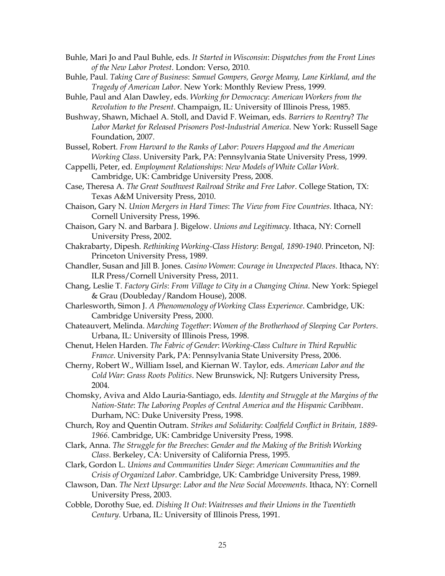- Buhle, Mari Jo and Paul Buhle, eds. *It Started in Wisconsin*: *Dispatches from the Front Lines of the New Labor Protest*. London: Verso, 2010.
- Buhle, Paul. *Taking Care of Business*: *Samuel Gompers, George Meany, Lane Kirkland, and the Tragedy of American Labor*. New York: Monthly Review Press, 1999.
- Buhle, Paul and Alan Dawley, eds. *Working for Democracy*: *American Workers from the Revolution to the Present*. Champaign, IL: University of Illinois Press, 1985.
- Bushway, Shawn, Michael A. Stoll, and David F. Weiman, eds. *Barriers to Reentry*? *The Labor Market for Released Prisoners Post-Industrial America*. New York: Russell Sage Foundation, 2007.
- Bussel, Robert. *From Harvard to the Ranks of Labor*: *Powers Hapgood and the American Working Class*. University Park, PA: Pennsylvania State University Press, 1999.
- Cappelli, Peter, ed. *Employment Relationships*: *New Models of White Collar Work*. Cambridge, UK: Cambridge University Press, 2008.
- Case, Theresa A. *The Great Southwest Railroad Strike and Free Labor*. College Station, TX: Texas A&M University Press, 2010.
- Chaison, Gary N. *Union Mergers in Hard Times*: *The View from Five Countries*. Ithaca, NY: Cornell University Press, 1996.
- Chaison, Gary N. and Barbara J. Bigelow. *Unions and Legitimacy*. Ithaca, NY: Cornell University Press, 2002.
- Chakrabarty, Dipesh. *Rethinking Working-Class History*: *Bengal, 1890-1940*. Princeton, NJ: Princeton University Press, 1989.
- Chandler, Susan and Jill B. Jones. *Casino Women*: *Courage in Unexpected Places*. Ithaca, NY: ILR Press/Cornell University Press, 2011.
- Chang, Leslie T. *Factory Girls*: *From Village to City in a Changing China*. New York: Spiegel & Grau (Doubleday/Random House), 2008.
- Charlesworth, Simon J. *A Phenomenology of Working Class Experience*. Cambridge, UK: Cambridge University Press, 2000.
- Chateauvert, Melinda. *Marching Together*: *Women of the Brotherhood of Sleeping Car Porters*. Urbana, IL: University of Illinois Press, 1998.
- Chenut, Helen Harden. *The Fabric of Gender*: *Working-Class Culture in Third Republic France*. University Park, PA: Pennsylvania State University Press, 2006.
- Cherny, Robert W., William Issel, and Kiernan W. Taylor, eds. *American Labor and the Cold War*: *Grass Roots Politics*. New Brunswick, NJ: Rutgers University Press, 2004.
- Chomsky, Aviva and Aldo Lauria-Santiago, eds. *Identity and Struggle at the Margins of the Nation-State*: *The Laboring Peoples of Central America and the Hispanic Caribbean*. Durham, NC: Duke University Press, 1998.
- Church, Roy and Quentin Outram. *Strikes and Solidarity*: *Coalfield Conflict in Britain, 1889- 1966*. Cambridge, UK: Cambridge University Press, 1998.
- Clark, Anna. *The Struggle for the Breeches*: *Gender and the Making of the British Working Class*. Berkeley, CA: University of California Press, 1995.
- Clark, Gordon L. *Unions and Communities Under Siege*: *American Communities and the Crisis of Organized Labor*. Cambridge, UK: Cambridge University Press, 1989.
- Clawson, Dan. *The Next Upsurge*: *Labor and the New Social Movements*. Ithaca, NY: Cornell University Press, 2003.
- Cobble, Dorothy Sue, ed. *Dishing It Out*: *Waitresses and their Unions in the Twentieth Century*. Urbana, IL: University of Illinois Press, 1991.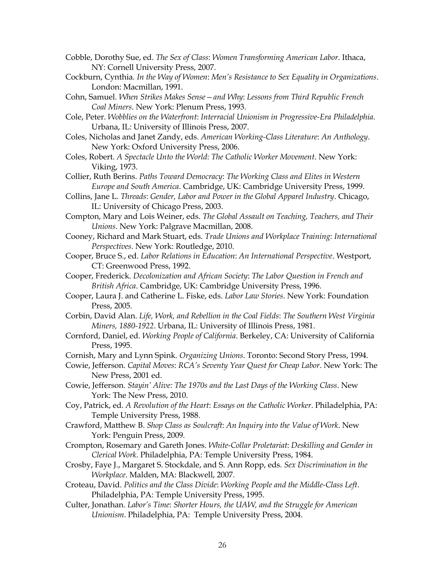- Cobble, Dorothy Sue, ed. *The Sex of Class*: *Women Transforming American Labor*. Ithaca, NY: Cornell University Press, 2007.
- Cockburn, Cynthia*. In the Way of Women*: *Men's Resistance to Sex Equality in Organizations*. London: Macmillan, 1991.
- Cohn, Samuel. *When Strikes Makes Sense—and Why*: *Lessons from Third Republic French Coal Miners*. New York: Plenum Press, 1993.
- Cole, Peter. *Wobblies on the Waterfront*: *Interracial Unionism in Progressive-Era Philadelphia*. Urbana, IL: University of Illinois Press, 2007.
- Coles, Nicholas and Janet Zandy, eds. *American Working-Class Literature*: *An Anthology*. New York: Oxford University Press, 2006.
- Coles, Robert. *A Spectacle Unto the World*: *The Catholic Worker Movement*. New York: Viking, 1973.
- Collier, Ruth Berins. *Paths Toward Democracy*: *The Working Class and Elites in Western Europe and South America*. Cambridge, UK: Cambridge University Press, 1999.
- Collins, Jane L. *Threads*: *Gender, Labor and Power in the Global Apparel Industry*. Chicago, IL: University of Chicago Press, 2003.
- Compton, Mary and Lois Weiner, eds. *The Global Assault on Teaching, Teachers, and Their Unions*. New York: Palgrave Macmillan, 2008.
- Cooney, Richard and Mark Stuart, eds. *Trade Unions and Workplace Training*: *International Perspectives*. New York: Routledge, 2010.
- Cooper, Bruce S., ed. *Labor Relations in Education*: *An International Perspective*. Westport, CT: Greenwood Press, 1992.
- Cooper, Frederick. *Decolonization and African Society*: *The Labor Question in French and British Africa*. Cambridge, UK: Cambridge University Press, 1996.
- Cooper, Laura J. and Catherine L. Fiske, eds. *Labor Law Stories*. New York: Foundation Press, 2005.
- Corbin, David Alan. *Life, Work, and Rebellion in the Coal Fields*: *The Southern West Virginia Miners, 1880-1922*. Urbana, IL: University of Illinois Press, 1981.
- Cornford, Daniel, ed. *Working People of California*. Berkeley, CA: University of California Press, 1995.
- Cornish, Mary and Lynn Spink. *Organizing Unions*. Toronto: Second Story Press, 1994.
- Cowie, Jefferson. *Capital Moves*: *RCA's Seventy Year Quest for Cheap Labor*. New York: The New Press, 2001 ed.
- Cowie, Jefferson. *Stayin' Alive: The 1970s and the Last Days of the Working Class*. New York: The New Press, 2010.
- Coy, Patrick, ed. *A Revolution of the Heart*: *Essays on the Catholic Worker*. Philadelphia, PA: Temple University Press, 1988.
- Crawford, Matthew B. *Shop Class as Soulcraft*: *An Inquiry into the Value of Work*. New York: Penguin Press, 2009.
- Crompton, Rosemary and Gareth Jones. *White-Collar Proletariat*: *Deskilling and Gender in Clerical Work*. Philadelphia, PA: Temple University Press, 1984.
- Crosby, Faye J., Margaret S. Stockdale, and S. Ann Ropp, eds. *Sex Discrimination in the Workplace*. Malden, MA: Blackwell, 2007.
- Croteau, David. *Politics and the Class Divide*: *Working People and the Middle-Class Left*. Philadelphia, PA: Temple University Press, 1995.
- Culter, Jonathan. *Labor's Time*: *Shorter Hours, the UAW, and the Struggle for American Unionism*. Philadelphia, PA: Temple University Press, 2004.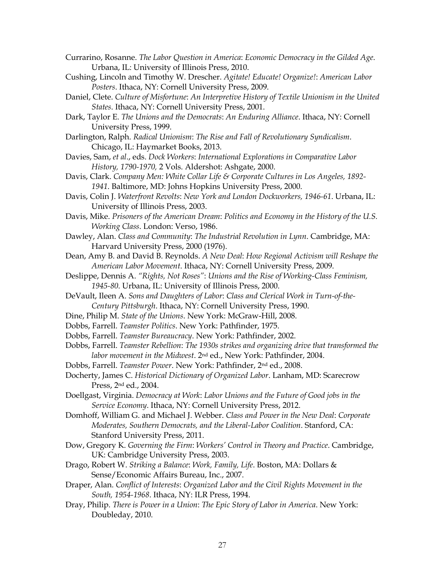- Currarino, Rosanne. *The Labor Question in America*: *Economic Democracy in the Gilded Age*. Urbana, IL: University of Illinois Press, 2010.
- Cushing, Lincoln and Timothy W. Drescher. *Agitate! Educate! Organize!*: *American Labor Posters*. Ithaca, NY: Cornell University Press, 2009.
- Daniel, Clete. *Culture of Misfortune*: *An Interpretive History of Textile Unionism in the United States*. Ithaca, NY: Cornell University Press, 2001.
- Dark, Taylor E. *The Unions and the Democrats*: *An Enduring Alliance*. Ithaca, NY: Cornell University Press, 1999.
- Darlington, Ralph. *Radical Unionism*: *The Rise and Fall of Revolutionary Syndicalism*. Chicago, IL: Haymarket Books, 2013.
- Davies, Sam, *et al*., eds. *Dock Workers*: *International Explorations in Comparative Labor History, 1790-1970,* 2 Vols. Aldershot: Ashgate, 2000.
- Davis, Clark. *Company Men: White Collar Life & Corporate Cultures in Los Angeles, 1892- 1941*. Baltimore, MD: Johns Hopkins University Press, 2000.
- Davis, Colin J. *Waterfront Revolts*: *New York and London Dockworkers, 1946-61*. Urbana, IL: University of Illinois Press, 2003.
- Davis, Mike. *Prisoners of the American Dream*: *Politics and Economy in the History of the U.S. Working Class*. London: Verso, 1986.
- Dawley, Alan. *Class and Community*: *The Industrial Revolution in Lynn*. Cambridge, MA: Harvard University Press, 2000 (1976).
- Dean, Amy B. and David B. Reynolds. *A New Deal*: *How Regional Activism will Reshape the American Labor Movement*. Ithaca, NY: Cornell University Press, 2009.
- Deslippe, Dennis A. *"Rights, Not Roses"*: *Unions and the Rise of Working-Class Feminism, 1945-80*. Urbana, IL: University of Illinois Press, 2000.
- DeVault, Ileen A. *Sons and Daughters of Labor*: *Class and Clerical Work in Turn-of-the-Century Pittsburgh*. Ithaca, NY: Cornell University Press, 1990.
- Dine, Philip M. *State of the Unions*. New York: McGraw-Hill, 2008.
- Dobbs, Farrell. *Teamster Politics*. New York: Pathfinder, 1975.
- Dobbs, Farrell. *Teamster Bureaucracy*. New York: Pathfinder, 2002.
- Dobbs, Farrell. *Teamster Rebellion*: *The 1930s strikes and organizing drive that transformed the labor movement in the Midwest*. 2nd ed., New York: Pathfinder, 2004.
- Dobbs, Farrell. *Teamster Power*. New York: Pathfinder, 2nd ed., 2008.
- Docherty, James C. *Historical Dictionary of Organized Labor*. Lanham, MD: Scarecrow Press, 2nd ed., 2004.
- Doellgast, Virginia. *Democracy at Work*: *Labor Unions and the Future of Good jobs in the Service Economy*. Ithaca, NY: Cornell University Press, 2012.
- Domhoff, William G. and Michael J. Webber. *Class and Power in the New Deal*: *Corporate Moderates, Southern Democrats, and the Liberal-Labor Coalition*. Stanford, CA: Stanford University Press, 2011.
- Dow, Gregory K. *Governing the Firm*: *Workers' Control in Theory and Practice*. Cambridge, UK: Cambridge University Press, 2003.
- Drago, Robert W. *Striking a Balance*: *Work, Family, Life*. Boston, MA: Dollars & Sense/Economic Affairs Bureau, Inc., 2007.
- Draper, Alan. *Conflict of Interests*: *Organized Labor and the Civil Rights Movement in the South, 1954-1968*. Ithaca, NY: ILR Press, 1994.
- Dray, Philip. *There is Power in a Union*: *The Epic Story of Labor in America*. New York: Doubleday, 2010.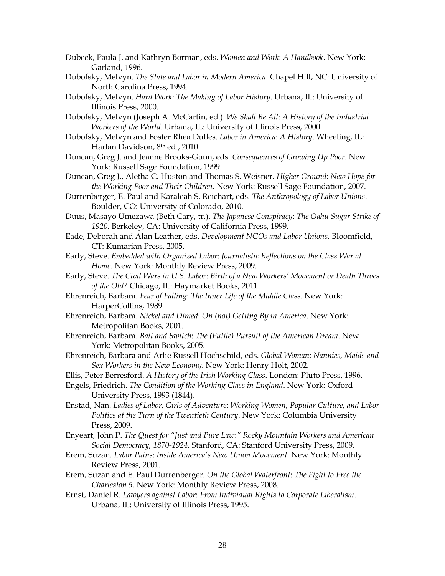- Dubeck, Paula J. and Kathryn Borman, eds. *Women and Work*: *A Handbook*. New York: Garland, 1996.
- Dubofsky, Melvyn. *The State and Labor in Modern America*. Chapel Hill, NC: University of North Carolina Press, 1994.
- Dubofsky, Melvyn. *Hard Work: The Making of Labor History*. Urbana, IL: University of Illinois Press, 2000.
- Dubofsky, Melvyn (Joseph A. McCartin, ed.). *We Shall Be All*: *A History of the Industrial Workers of the World*. Urbana, IL: University of Illinois Press, 2000.
- Dubofsky, Melvyn and Foster Rhea Dulles. *Labor in America*: *A History*. Wheeling, IL: Harlan Davidson, 8th ed., 2010.
- Duncan, Greg J. and Jeanne Brooks-Gunn, eds. *Consequences of Growing Up Poor*. New York: Russell Sage Foundation, 1999.
- Duncan, Greg J., Aletha C. Huston and Thomas S. Weisner. *Higher Ground*: *New Hope for the Working Poor and Their Children*. New York: Russell Sage Foundation, 2007.
- Durrenberger, E. Paul and Karaleah S. Reichart, eds. *The Anthropology of Labor Unions*. Boulder, CO: University of Colorado, 2010.
- Duus, Masayo Umezawa (Beth Cary, tr.). *The Japanese Conspiracy*: *The Oahu Sugar Strike of 1920*. Berkeley, CA: University of California Press, 1999.
- Eade, Deborah and Alan Leather, eds. *Development NGOs and Labor Unions*. Bloomfield, CT: Kumarian Press, 2005.
- Early, Steve. *Embedded with Organized Labor*: *Journalistic Reflections on the Class War at Home*. New York: Monthly Review Press, 2009.
- Early, Steve. *The Civil Wars in U.S. Labor*: *Birth of a New Workers' Movement or Death Throes of the Old?* Chicago, IL: Haymarket Books, 2011.
- Ehrenreich, Barbara. *Fear of Falling*: *The Inner Life of the Middle Class*. New York: HarperCollins, 1989.
- Ehrenreich, Barbara. *Nickel and Dimed*: *On (not) Getting By in America*. New York: Metropolitan Books, 2001.
- Ehrenreich, Barbara. *Bait and Switch*: *The (Futile) Pursuit of the American Dream*. New York: Metropolitan Books, 2005.
- Ehrenreich, Barbara and Arlie Russell Hochschild, eds. *Global Woman*: *Nannies, Maids and Sex Workers in the New Economy*. New York: Henry Holt, 2002.
- Ellis, Peter Berresford. *A History of the Irish Working Class*. London: Pluto Press, 1996.
- Engels, Friedrich. *The Condition of the Working Class in England*. New York: Oxford University Press, 1993 (1844).
- Enstad, Nan. *Ladies of Labor, Girls of Adventure*: *Working Women, Popular Culture, and Labor Politics at the Turn of the Twentieth Century*. New York: Columbia University Press, 2009.
- Enyeart, John P. *The Quest for "Just and Pure Law*:*" Rocky Mountain Workers and American Social Democracy, 1870-1924.* Stanford, CA: Stanford University Press, 2009.
- Erem, Suzan*. Labor Pains*: *Inside America's New Union Movement.* New York: Monthly Review Press, 2001.
- Erem, Suzan and E. Paul Durrenberger*. On the Global Waterfront*: *The Fight to Free the Charleston 5.* New York: Monthly Review Press, 2008.
- Ernst, Daniel R. *Lawyers against Labor*: *From Individual Rights to Corporate Liberalism*. Urbana, IL: University of Illinois Press, 1995.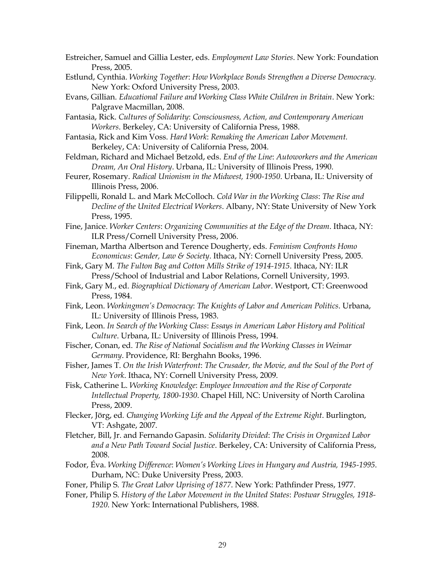- Estreicher, Samuel and Gillia Lester, eds. *Employment Law Stories*. New York: Foundation Press, 2005.
- Estlund, Cynthia. *Working Together*: *How Workplace Bonds Strengthen a Diverse Democracy.* New York: Oxford University Press, 2003.
- Evans, Gillian. *Educational Failure and Working Class White Children in Britain*. New York: Palgrave Macmillan, 2008.
- Fantasia, Rick. *Cultures of Solidarity*: *Consciousness, Action, and Contemporary American Workers*. Berkeley, CA: University of California Press, 1988.
- Fantasia, Rick and Kim Voss. *Hard Work*: *Remaking the American Labor Movement.* Berkeley, CA: University of California Press, 2004.
- Feldman, Richard and Michael Betzold, eds. *End of the Line*: *Autoworkers and the American Dream, An Oral History*. Urbana, IL: University of Illinois Press, 1990.
- Feurer, Rosemary. *Radical Unionism in the Midwest, 1900-1950*. Urbana, IL: University of Illinois Press, 2006.
- Filippelli, Ronald L. and Mark McColloch. *Cold War in the Working Class*: *The Rise and Decline of the United Electrical Workers*. Albany, NY: State University of New York Press, 1995.
- Fine, Janice. *Worker Centers*: *Organizing Communities at the Edge of the Dream*. Ithaca, NY: ILR Press/Cornell University Press, 2006.
- Fineman, Martha Albertson and Terence Dougherty, eds. *Feminism Confronts Homo Economicus*: *Gender, Law & Society*. Ithaca, NY: Cornell University Press, 2005.
- Fink, Gary M. *The Fulton Bag and Cotton Mills Strike of 1914-1915*. Ithaca, NY: ILR Press/School of Industrial and Labor Relations, Cornell University, 1993.
- Fink, Gary M., ed. *Biographical Dictionary of American Labor*. Westport, CT: Greenwood Press, 1984.
- Fink, Leon. *Workingmen's Democracy*: *The Knights of Labor and American Politics*. Urbana, IL: University of Illinois Press, 1983.
- Fink, Leon. *In Search of the Working Class*: *Essays in American Labor History and Political Culture*. Urbana, IL: University of Illinois Press, 1994.
- Fischer, Conan, ed. *The Rise of National Socialism and the Working Classes in Weimar Germany*. Providence, RI: Berghahn Books, 1996.
- Fisher, James T. *On the Irish Waterfront*: *The Crusader, the Movie, and the Soul of the Port of New York*. Ithaca, NY: Cornell University Press, 2009.
- Fisk, Catherine L. *Working Knowledge*: *Employee Innovation and the Rise of Corporate Intellectual Property, 1800-1930*. Chapel Hill, NC: University of North Carolina Press, 2009.
- Flecker, Jörg, ed*. Changing Working Life and the Appeal of the Extreme Right*. Burlington, VT: Ashgate, 2007.
- Fletcher, Bill, Jr. and Fernando Gapasin. *Solidarity Divided*: *The Crisis in Organized Labor and a New Path Toward Social Justice*. Berkeley, CA: University of California Press, 2008.
- Fodor, Éva. *Working Difference*: *Women's Working Lives in Hungary and Austria, 1945-1995*. Durham, NC: Duke University Press, 2003.
- Foner, Philip S. *The Great Labor Uprising of 1877*. New York: Pathfinder Press, 1977.
- Foner, Philip S. *History of the Labor Movement in the United States*: *Postwar Struggles, 1918- 1920*. New York: International Publishers, 1988.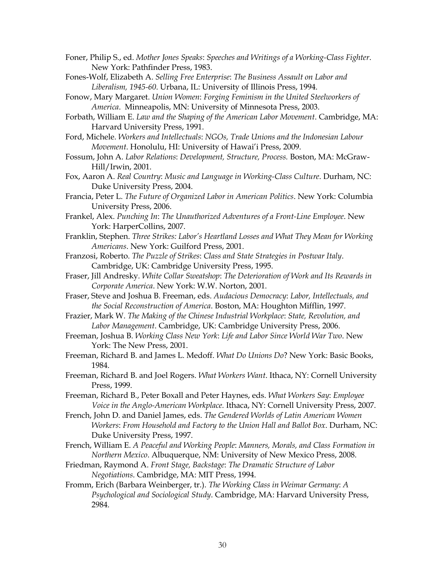Foner, Philip S., ed. *Mother Jones Speaks*: *Speeches and Writings of a Working-Class Fighter*. New York: Pathfinder Press, 1983.

- Fones-Wolf, Elizabeth A. *Selling Free Enterprise*: *The Business Assault on Labor and Liberalism, 1945-60*. Urbana, IL: University of Illinois Press, 1994.
- Fonow, Mary Margaret. *Union Women*: *Forging Feminism in the United Steelworkers of America*. Minneapolis, MN: University of Minnesota Press, 2003.
- Forbath, William E. *Law and the Shaping of the American Labor Movement*. Cambridge, MA: Harvard University Press, 1991.
- Ford, Michele. *Workers and Intellectuals*: *NGOs, Trade Unions and the Indonesian Labour Movement*. Honolulu, HI: University of Hawai'i Press, 2009.
- Fossum, John A. *Labor Relations*: *Development, Structure, Process.* Boston, MA: McGraw-Hill/Irwin, 2001.
- Fox, Aaron A. *Real Country*: *Music and Language in Working-Class Culture*. Durham, NC: Duke University Press, 2004.
- Francia, Peter L. *The Future of Organized Labor in American Politics*. New York: Columbia University Press, 2006.
- Frankel, Alex. *Punching In*: *The Unauthorized Adventures of a Front-Line Employee*. New York: HarperCollins, 2007.
- Franklin, Stephen. *Three Strikes: Labor's Heartland Losses and What They Mean for Working Americans*. New York: Guilford Press, 2001.
- Franzosi, Roberto. *The Puzzle of Strikes*: *Class and State Strategies in Postwar Italy*. Cambridge, UK: Cambridge University Press, 1995.
- Fraser, Jill Andresky*. White Collar Sweatshop*: *The Deterioration of Work and Its Rewards in Corporate America*. New York: W.W. Norton, 2001.
- Fraser, Steve and Joshua B. Freeman, eds. *Audacious Democracy*: *Labor, Intellectuals, and the Social Reconstruction of America*. Boston, MA: Houghton Mifflin, 1997.
- Frazier, Mark W. *The Making of the Chinese Industrial Workplace*: *State, Revolution, and Labor Management*. Cambridge, UK: Cambridge University Press, 2006.
- Freeman, Joshua B. *Working Class New York*: *Life and Labor Since World War Two*. New York: The New Press, 2001.
- Freeman, Richard B. and James L. Medoff. *What Do Unions Do*? New York: Basic Books, 1984.
- Freeman, Richard B. and Joel Rogers. *What Workers Want*. Ithaca, NY: Cornell University Press, 1999.
- Freeman, Richard B., Peter Boxall and Peter Haynes, eds. *What Workers Say*: *Employee Voice in the Anglo-American Workplace.* Ithaca, NY: Cornell University Press, 2007.
- French, John D. and Daniel James, eds. *The Gendered Worlds of Latin American Women Workers*: *From Household and Factory to the Union Hall and Ballot Box*. Durham, NC: Duke University Press, 1997.
- French, William E. *A Peaceful and Working People*: *Manners, Morals, and Class Formation in Northern Mexico*. Albuquerque, NM: University of New Mexico Press, 2008.
- Friedman, Raymond A. *Front Stage, Backstage*: *The Dramatic Structure of Labor Negotiations*. Cambridge, MA: MIT Press, 1994.
- Fromm, Erich (Barbara Weinberger, tr.). *The Working Class in Weimar Germany*: *A Psychological and Sociological Study*. Cambridge, MA: Harvard University Press, 2984.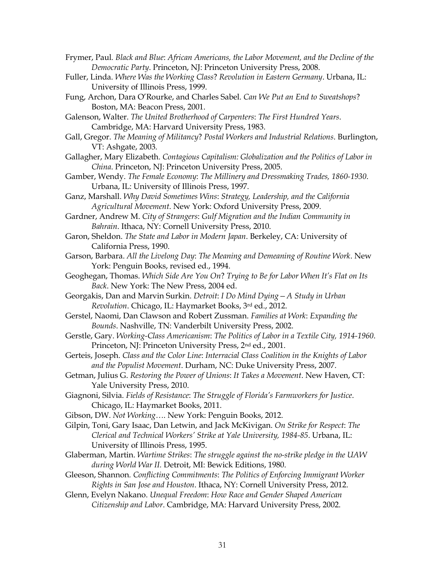- Frymer, Paul*. Black and Blue*: *African Americans, the Labor Movement, and the Decline of the Democratic Party*. Princeton, NJ: Princeton University Press, 2008.
- Fuller, Linda. *Where Was the Working Class*? *Revolution in Eastern Germany*. Urbana, IL: University of Illinois Press, 1999.
- Fung, Archon, Dara O'Rourke, and Charles Sabel. *Can We Put an End to Sweatshops*? Boston, MA: Beacon Press, 2001.

Galenson, Walter. *The United Brotherhood of Carpenters*: *The First Hundred Years*. Cambridge, MA: Harvard University Press, 1983.

- Gall, Gregor. *The Meaning of Militancy*? *Postal Workers and Industrial Relations*. Burlington, VT: Ashgate, 2003.
- Gallagher, Mary Elizabeth. *Contagious Capitalism: Globalization and the Politics of Labor in China*. Princeton, NJ: Princeton University Press, 2005.
- Gamber, Wendy. *The Female Economy*: *The Millinery and Dressmaking Trades, 1860-1930*. Urbana, IL: University of Illinois Press, 1997.
- Ganz, Marshall. *Why David Sometimes Wins*: *Strategy, Leadership, and the California Agricultural Movement*. New York: Oxford University Press, 2009.
- Gardner, Andrew M. *City of Strangers*: *Gulf Migration and the Indian Community in Bahrain*. Ithaca, NY: Cornell University Press, 2010.
- Garon, Sheldon. *The State and Labor in Modern Japan*. Berkeley, CA: University of California Press, 1990.
- Garson, Barbara. *All the Livelong Day*: *The Meaning and Demeaning of Routine Work*. New York: Penguin Books, revised ed., 1994.
- Geoghegan, Thomas. *Which Side Are You On*? *Trying to Be for Labor When It's Flat on Its Back*. New York: The New Press, 2004 ed.
- Georgakis, Dan and Marvin Surkin. *Detroit*: *I Do Mind Dying—A Study in Urban Revolution*. Chicago, IL: Haymarket Books, 3rd ed., 2012.
- Gerstel, Naomi, Dan Clawson and Robert Zussman. *Families at Work*: *Expanding the Bounds*. Nashville, TN: Vanderbilt University Press, 2002.
- Gerstle, Gary. *Working-Class Americanism*: *The Politics of Labor in a Textile City, 1914-1960*. Princeton, NJ: Princeton University Press, 2nd ed., 2001.
- Gerteis, Joseph. *Class and the Color Line*: *Interracial Class Coalition in the Knights of Labor and the Populist Movement*. Durham, NC: Duke University Press, 2007.
- Getman, Julius G. *Restoring the Power of Unions*: *It Takes a Movement*. New Haven, CT: Yale University Press, 2010.
- Giagnoni, Silvia. *Fields of Resistance*: *The Struggle of Florida's Farmworkers for Justice*. Chicago, IL: Haymarket Books, 2011.
- Gibson, DW. *Not Working…*. New York: Penguin Books, 2012.
- Gilpin, Toni, Gary Isaac, Dan Letwin, and Jack McKivigan. *On Strike for Respect*: *The Clerical and Technical Workers' Strike at Yale University, 1984-85*. Urbana, IL: University of Illinois Press, 1995.
- Glaberman, Martin. *Wartime Strikes*: *The struggle against the no-strike pledge in the UAW during World War II.* Detroit, MI: Bewick Editions, 1980.
- Gleeson, Shannon*. Conflicting Commitments*: *The Politics of Enforcing Immigrant Worker Rights in San Jose and Houston*. Ithaca, NY: Cornell University Press, 2012.
- Glenn, Evelyn Nakano. *Unequal Freedom*: *How Race and Gender Shaped American Citizenship and Labor*. Cambridge, MA: Harvard University Press, 2002.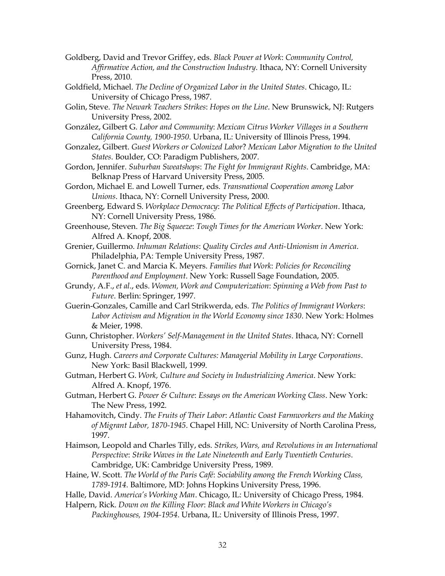- Goldberg, David and Trevor Griffey, eds. *Black Power at Work*: *Community Control, Affirmative Action, and the Construction Industry*. Ithaca, NY: Cornell University Press, 2010.
- Goldfield, Michael. *The Decline of Organized Labor in the United States*. Chicago, IL: University of Chicago Press, 1987.
- Golin, Steve. *The Newark Teachers Strikes*: *Hopes on the Line*. New Brunswick, NJ: Rutgers University Press, 2002.
- González, Gilbert G. *Labor and Community*: *Mexican Citrus Worker Villages in a Southern California County, 1900-1950*. Urbana, IL: University of Illinois Press, 1994.
- Gonzalez, Gilbert. *Guest Workers or Colonized Labor*? *Mexican Labor Migration to the United States*. Boulder, CO: Paradigm Publishers, 2007.
- Gordon, Jennifer. *Suburban Sweatshops*: *The Fight for Immigrant Rights*. Cambridge, MA: Belknap Press of Harvard University Press, 2005.
- Gordon, Michael E. and Lowell Turner, eds. *Transnational Cooperation among Labor Unions*. Ithaca, NY: Cornell University Press, 2000.
- Greenberg, Edward S. *Workplace Democracy*: *The Political Effects of Participation*. Ithaca, NY: Cornell University Press, 1986.
- Greenhouse, Steven. *The Big Squeeze*: *Tough Times for the American Worker*. New York: Alfred A. Knopf, 2008.
- Grenier, Guillermo. *Inhuman Relations*: *Quality Circles and Anti-Unionism in America*. Philadelphia, PA: Temple University Press, 1987.
- Gornick, Janet C. and Marcia K. Meyers. *Families that Work*: *Policies for Reconciling Parenthood and Employment*. New York: Russell Sage Foundation, 2005.
- Grundy, A.F., *et al*., eds. *Women, Work and Computerization*: *Spinning a Web from Past to Future*. Berlin: Springer, 1997.
- Guerin-Gonzales, Camille and Carl Strikwerda, eds. *The Politics of Immigrant Workers*: *Labor Activism and Migration in the World Economy since 1830*. New York: Holmes & Meier, 1998.
- Gunn, Christopher. *Workers' Self-Management in the United States*. Ithaca, NY: Cornell University Press, 1984.
- Gunz, Hugh. *Careers and Corporate Cultures: Managerial Mobility in Large Corporations*. New York: Basil Blackwell, 1999.
- Gutman, Herbert G. *Work, Culture and Society in Industrializing America*. New York: Alfred A. Knopf, 1976.
- Gutman, Herbert G. *Power & Culture*: *Essays on the American Working Class*. New York: The New Press, 1992.
- Hahamovitch, Cindy. *The Fruits of Their Labor*: *Atlantic Coast Farmworkers and the Making of Migrant Labor, 1870-1945*. Chapel Hill, NC: University of North Carolina Press, 1997.
- Haimson, Leopold and Charles Tilly, eds. *Strikes, Wars, and Revolutions in an International Perspective*: *Strike Waves in the Late Nineteenth and Early Twentieth Centuries*. Cambridge, UK: Cambridge University Press, 1989.
- Haine, W. Scott. *The World of the Paris Café*: *Sociability among the French Working Class, 1789-1914*. Baltimore, MD: Johns Hopkins University Press, 1996.
- Halle, David. *America's Working Man*. Chicago, IL: University of Chicago Press, 1984.
- Halpern, Rick. *Down on the Killing Floor*: *Black and White Workers in Chicago's Packinghouses, 1904-1954*. Urbana, IL: University of Illinois Press, 1997.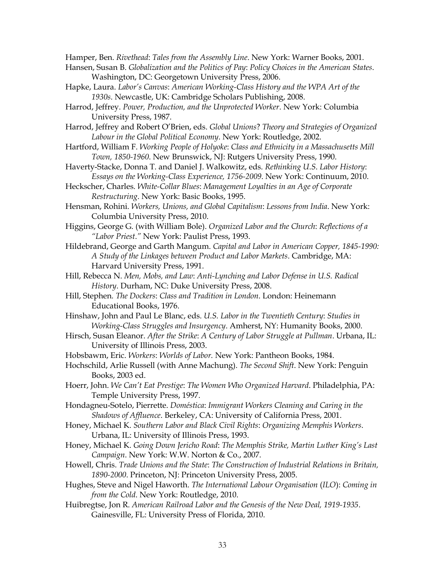Hamper, Ben. *Rivethead*: *Tales from the Assembly Line*. New York: Warner Books, 2001.

- Hansen, Susan B. *Globalization and the Politics of Pay*: *Policy Choices in the American States*. Washington, DC: Georgetown University Press, 2006.
- Hapke, Laura. *Labor's Canvas*: *American Working-Class History and the WPA Art of the 1930s*. Newcastle, UK: Cambridge Scholars Publishing, 2008.
- Harrod, Jeffrey. *Power, Production, and the Unprotected Worker*. New York: Columbia University Press, 1987.

Harrod, Jeffrey and Robert O'Brien, eds. *Global Unions*? *Theory and Strategies of Organized Labour in the Global Political Economy*. New York: Routledge, 2002.

- Hartford, William F. *Working People of Holyoke*: *Class and Ethnicity in a Massachusetts Mill Town, 1850-1960*. New Brunswick, NJ: Rutgers University Press, 1990.
- Haverty-Stacke, Donna T. and Daniel J. Walkowitz, eds. *Rethinking U*.*S*. *Labor History*: *Essays on the Working-Class Experience, 1756-2009*. New York: Continuum, 2010.
- Heckscher, Charles. *White-Collar Blues*: *Management Loyalties in an Age of Corporate Restructuring*. New York: Basic Books, 1995.
- Hensman, Rohini. *Workers, Unions, and Global Capitalism*: *Lessons from India*. New York: Columbia University Press, 2010.
- Higgins, George G. (with William Bole). *Organized Labor and the Church*: *Reflections of a "Labor Priest*.*"* New York: Paulist Press, 1993.
- Hildebrand, George and Garth Mangum. *Capital and Labor in American Copper, 1845-1990: A Study of the Linkages between Product and Labor Markets*. Cambridge, MA: Harvard University Press, 1991.
- Hill, Rebecca N. *Men, Mobs, and Law*: *Anti-Lynching and Labor Defense in U.S. Radical History*. Durham, NC: Duke University Press, 2008.
- Hill, Stephen*. The Dockers*: *Class and Tradition in London*. London: Heinemann Educational Books, 1976.
- Hinshaw, John and Paul Le Blanc, eds. *U.S. Labor in the Twentieth Century*: *Studies in Working-Class Struggles and Insurgency*. Amherst, NY: Humanity Books, 2000.
- Hirsch, Susan Eleanor. *After the Strike*: *A Century of Labor Struggle at Pullman*. Urbana, IL: University of Illinois Press, 2003.
- Hobsbawm, Eric. *Workers*: *Worlds of Labor.* New York: Pantheon Books, 1984.
- Hochschild, Arlie Russell (with Anne Machung). *The Second Shift*. New York: Penguin Books, 2003 ed.
- Hoerr, John. *We Can't Eat Prestige*: *The Women Who Organized Harvard*. Philadelphia, PA: Temple University Press, 1997.
- Hondagneu-Sotelo, Pierrette. *Doméstica*: *Immigrant Workers Cleaning and Caring in the Shadows of Affluence*. Berkeley, CA: University of California Press, 2001.
- Honey, Michael K. *Southern Labor and Black Civil Rights*: *Organizing Memphis Workers*. Urbana, IL: University of Illinois Press, 1993.
- Honey, Michael K. *Going Down Jericho Road*: *The Memphis Strike, Martin Luther King's Last Campaign*. New York: W.W. Norton & Co., 2007.
- Howell, Chris. *Trade Unions and the State*: *The Construction of Industrial Relations in Britain, 1890-2000*. Princeton, NJ: Princeton University Press, 2005.
- Hughes, Steve and Nigel Haworth. *The International Labour Organisation* (*ILO*): *Coming in from the Cold*. New York: Routledge, 2010.
- Huibregtse, Jon R. *American Railroad Labor and the Genesis of the New Deal, 1919-1935*. Gainesville, FL: University Press of Florida, 2010.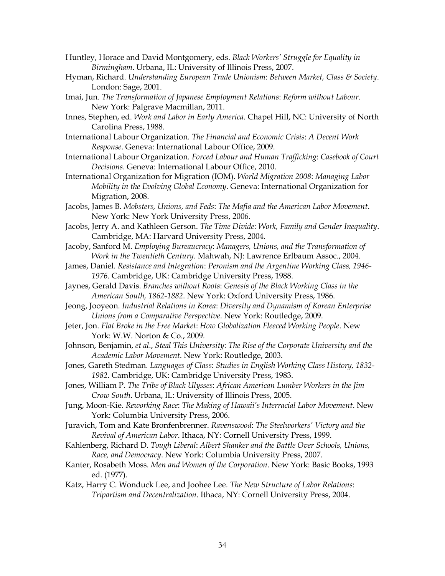- Huntley, Horace and David Montgomery, eds. *Black Workers' Struggle for Equality in Birmingham*. Urbana, IL: University of Illinois Press, 2007.
- Hyman, Richard. *Understanding European Trade Unionism*: *Between Market, Class & Society*. London: Sage, 2001.
- Imai, Jun. *The Transformation of Japanese Employment Relations*: *Reform without Labour*. New York: Palgrave Macmillan, 2011.
- Innes, Stephen, ed. *Work and Labor in Early America*. Chapel Hill, NC: University of North Carolina Press, 1988.
- International Labour Organization. *The Financial and Economic Crisis*: *A Decent Work Response*. Geneva: International Labour Office, 2009.
- International Labour Organization. *Forced Labour and Human Trafficking*: *Casebook of Court Decisions*. Geneva: International Labour Office, 2010.
- International Organization for Migration (IOM). *World Migration 2008*: *Managing Labor Mobility in the Evolving Global Economy*. Geneva: International Organization for Migration, 2008.
- Jacobs, James B. *Mobsters, Unions, and Feds*: *The Mafia and the American Labor Movement*. New York: New York University Press, 2006.
- Jacobs, Jerry A. and Kathleen Gerson. *The Time Divide*: *Work, Family and Gender Inequality*. Cambridge, MA: Harvard University Press, 2004.
- Jacoby, Sanford M. *Employing Bureaucracy*: *Managers, Unions, and the Transformation of Work in the Twentieth Century*. Mahwah, NJ: Lawrence Erlbaum Assoc., 2004.
- James, Daniel. *Resistance and Integration*: *Peronism and the Argentine Working Class, 1946- 1976*. Cambridge, UK: Cambridge University Press, 1988.
- Jaynes, Gerald Davis. *Branches without Roots*: *Genesis of the Black Working Class in the American South, 1862-1882*. New York: Oxford University Press, 1986.
- Jeong, Jooyeon. *Industrial Relations in Korea*: *Diversity and Dynamism of Korean Enterprise Unions from a Comparative Perspective*. New York: Routledge, 2009.
- Jeter, Jon. *Flat Broke in the Free Market*: *How Globalization Fleeced Working People*. New York: W.W. Norton & Co., 2009.
- Johnson, Benjamin, *et al*., *Steal This University*: *The Rise of the Corporate University and the Academic Labor Movement*. New York: Routledge, 2003.
- Jones, Gareth Stedman. *Languages of Class*: *Studies in English Working Class History, 1832- 1982*. Cambridge, UK: Cambridge University Press, 1983.
- Jones, William P. *The Tribe of Black Ulysses*: *African American Lumber Workers in the Jim Crow South*. Urbana, IL: University of Illinois Press, 2005.
- Jung, Moon-Kie. *Reworking Race*: *The Making of Hawaii's Interracial Labor Movement*. New York: Columbia University Press, 2006.
- Juravich, Tom and Kate Bronfenbrenner. *Ravenswood*: *The Steelworkers' Victory and the Revival of American Labor*. Ithaca, NY: Cornell University Press, 1999.
- Kahlenberg, Richard D. *Tough Liberal*: *Albert Shanker and the Battle Over Schools, Unions, Race, and Democracy*. New York: Columbia University Press, 2007.
- Kanter, Rosabeth Moss. *Men and Women of the Corporation*. New York: Basic Books, 1993 ed. (1977).
- Katz, Harry C. Wonduck Lee, and Joohee Lee. *The New Structure of Labor Relations*: *Tripartism and Decentralization*. Ithaca, NY: Cornell University Press, 2004.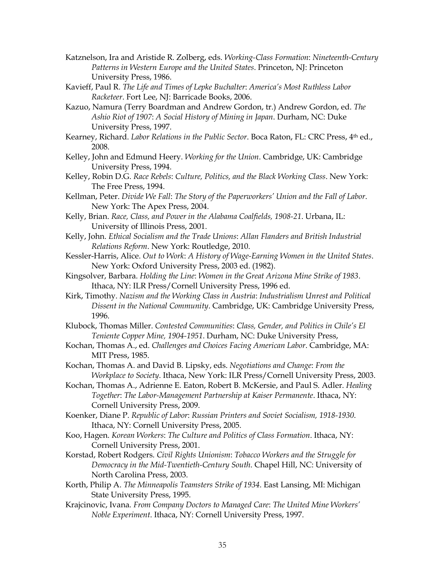- Katznelson, Ira and Aristide R. Zolberg, eds. *Working-Class Formation*: *Nineteenth-Century Patterns in Western Europe and the United States*. Princeton, NJ: Princeton University Press, 1986.
- Kavieff, Paul R. *The Life and Times of Lepke Buchalter*: *America's Most Ruthless Labor Racketeer*. Fort Lee, NJ: Barricade Books, 2006.
- Kazuo, Namura (Terry Boardman and Andrew Gordon, tr.) Andrew Gordon, ed. *The Ashio Riot of 1907*: *A Social History of Mining in Japan*. Durham, NC: Duke University Press, 1997.
- Kearney, Richard. *Labor Relations in the Public Sector*. Boca Raton, FL: CRC Press, 4th ed., 2008.
- Kelley, John and Edmund Heery. *Working for the Union*. Cambridge, UK: Cambridge University Press, 1994.
- Kelley, Robin D.G. *Race Rebels*: *Culture, Politics, and the Black Working Class*. New York: The Free Press, 1994.
- Kellman, Peter. *Divide We Fall*: *The Story of the Paperworkers' Union and the Fall of Labor*. New York: The Apex Press, 2004.
- Kelly, Brian. *Race, Class, and Power in the Alabama Coalfields, 1908-21*. Urbana, IL: University of Illinois Press, 2001.
- Kelly, John. *Ethical Socialism and the Trade Unions*: *Allan Flanders and British Industrial Relations Reform*. New York: Routledge, 2010.
- Kessler-Harris, Alice. *Out to Work*: *A History of Wage-Earning Women in the United States*. New York: Oxford University Press, 2003 ed. (1982).
- Kingsolver, Barbara. *Holding the Line*: *Women in the Great Arizona Mine Strike of 1983*. Ithaca, NY: ILR Press/Cornell University Press, 1996 ed.
- Kirk, Timothy. *Nazism and the Working Class in Austria*: *Industrialism Unrest and Political Dissent in the National Community*. Cambridge, UK: Cambridge University Press, 1996.
- Klubock, Thomas Miller. *Contested Communities*: *Class, Gender, and Politics in Chile's El Teniente Copper Mine, 1904-1951*. Durham, NC: Duke University Press,
- Kochan, Thomas A., ed. *Challenges and Choices Facing American Labor*. Cambridge, MA: MIT Press, 1985.

Kochan, Thomas A. and David B. Lipsky, eds. *Negotiations and Change*: *From the Workplace to Society*. Ithaca, New York: ILR Press/Cornell University Press, 2003.

- Kochan, Thomas A., Adrienne E. Eaton, Robert B. McKersie, and Paul S. Adler. *Healing Together*: *The Labor-Management Partnership at Kaiser Permanente*. Ithaca, NY: Cornell University Press, 2009.
- Koenker, Diane P. *Republic of Labor*: *Russian Printers and Soviet Socialism, 1918-1930*. Ithaca, NY: Cornell University Press, 2005.
- Koo, Hagen. *Korean Workers*: *The Culture and Politics of Class Formation*. Ithaca, NY: Cornell University Press, 2001.
- Korstad, Robert Rodgers. *Civil Rights Unionism*: *Tobacco Workers and the Struggle for Democracy in the Mid-Twentieth-Century South*. Chapel Hill, NC: University of North Carolina Press, 2003.
- Korth, Philip A. *The Minneapolis Teamsters Strike of 1934*. East Lansing, MI: Michigan State University Press, 1995.
- Krajcinovic, Ivana. *From Company Doctors to Managed Care*: *The United Mine Workers' Noble Experiment*. Ithaca, NY: Cornell University Press, 1997.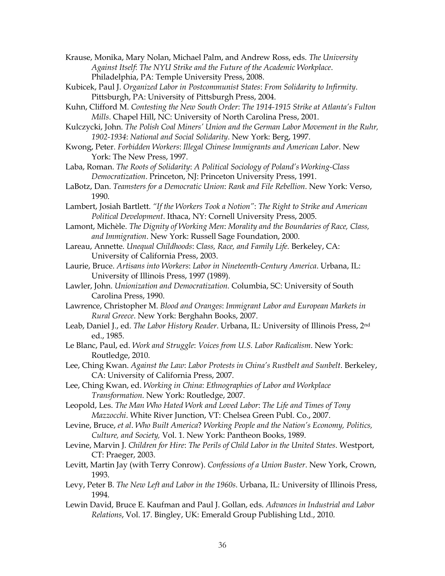Krause, Monika, Mary Nolan, Michael Palm, and Andrew Ross, eds. *The University Against Itself*: *The NYU Strike and the Future of the Academic Workplace*. Philadelphia, PA: Temple University Press, 2008.

Kubicek, Paul J. *Organized Labor in Postcommunist States*: *From Solidarity to Infirmity*. Pittsburgh, PA: University of Pittsburgh Press, 2004.

Kuhn, Clifford M. *Contesting the New South Order*: *The 1914-1915 Strike at Atlanta's Fulton Mills*. Chapel Hill, NC: University of North Carolina Press, 2001.

Kulczycki, John. *The Polish Coal Miners' Union and the German Labor Movement in the Ruhr, 1902-1934*: *National and Social Solidarity*. New York: Berg, 1997.

Kwong, Peter. *Forbidden Workers*: *Illegal Chinese Immigrants and American Labor*. New York: The New Press, 1997.

Laba, Roman. *The Roots of Solidarity*: *A Political Sociology of Poland's Working-Class Democratization*. Princeton, NJ: Princeton University Press, 1991.

LaBotz, Dan. *Teamsters for a Democratic Union*: *Rank and File Rebellion*. New York: Verso, 1990.

Lambert, Josiah Bartlett. *"If the Workers Took a Notion"*: *The Right to Strike and American Political Development*. Ithaca, NY: Cornell University Press, 2005.

Lamont, Michèle. *The Dignity of Working Men*: *Morality and the Boundaries of Race, Class, and Immigration*. New York: Russell Sage Foundation, 2000.

Lareau, Annette. *Unequal Childhoods*: *Class, Race, and Family Life.* Berkeley, CA: University of California Press, 2003.

Laurie, Bruce. *Artisans into Workers*: *Labor in Nineteenth-Century America*. Urbana, IL: University of Illinois Press, 1997 (1989).

Lawler, John. *Unionization and Democratization.* Columbia, SC: University of South Carolina Press, 1990.

Lawrence, Christopher M. *Blood and Oranges*: *Immigrant Labor and European Markets in Rural Greece*. New York: Berghahn Books, 2007.

Leab, Daniel J., ed. *The Labor History Reader*. Urbana, IL: University of Illinois Press, 2nd ed., 1985.

Le Blanc, Paul, ed. *Work and Struggle*: *Voices from U.S. Labor Radicalism*. New York: Routledge, 2010.

Lee, Ching Kwan. *Against the Law*: *Labor Protests in China's Rustbelt and Sunbelt*. Berkeley, CA: University of California Press, 2007.

Lee, Ching Kwan, ed. *Working in China*: *Ethnographies of Labor and Workplace Transformation*. New York: Routledge, 2007.

Leopold, Les. *The Man Who Hated Work and Loved Labor*: *The Life and Times of Tony Mazzocchi*. White River Junction, VT: Chelsea Green Publ. Co., 2007.

Levine, Bruce, *et al*. *Who Built America*? *Working People and the Nation's Economy, Politics, Culture, and Society,* Vol. 1. New York: Pantheon Books, 1989.

Levine, Marvin J. *Children for Hire*: *The Perils of Child Labor in the United States*. Westport, CT: Praeger, 2003.

Levitt, Martin Jay (with Terry Conrow). *Confessions of a Union Buster*. New York, Crown, 1993.

Levy, Peter B. *The New Left and Labor in the 1960s*. Urbana, IL: University of Illinois Press, 1994.

Lewin David, Bruce E. Kaufman and Paul J. Gollan, eds. *Advances in Industrial and Labor Relations*, Vol. 17. Bingley, UK: Emerald Group Publishing Ltd., 2010.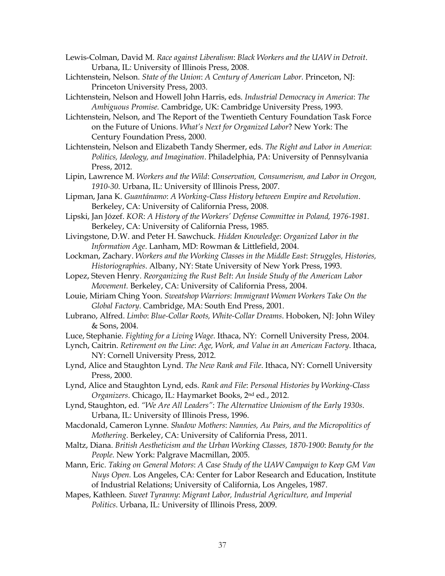- Lewis-Colman, David M. *Race against Liberalism*: *Black Workers and the UAW in Detroit*. Urbana, IL: University of Illinois Press, 2008.
- Lichtenstein, Nelson. *State of the Union*: *A Century of American Labor.* Princeton, NJ: Princeton University Press, 2003.
- Lichtenstein, Nelson and Howell John Harris, eds. *Industrial Democracy in America*: *The Ambiguous Promise.* Cambridge, UK: Cambridge University Press, 1993.
- Lichtenstein, Nelson, and The Report of the Twentieth Century Foundation Task Force on the Future of Unions. *What's Next for Organized Labor*? New York: The Century Foundation Press, 2000.
- Lichtenstein, Nelson and Elizabeth Tandy Shermer, eds. *The Right and Labor in America*: *Politics, Ideology, and Imagination*. Philadelphia, PA: University of Pennsylvania Press, 2012.
- Lipin, Lawrence M. *Workers and the Wild*: *Conservation, Consumerism, and Labor in Oregon, 1910-30*. Urbana, IL: University of Illinois Press, 2007.
- Lipman, Jana K. *Guantánamo*: *A Working-Class History between Empire and Revolution*. Berkeley, CA: University of California Press, 2008.
- Lipski, Jan Józef. *KOR*: *A History of the Workers' Defense Committee in Poland, 1976-1981*. Berkeley, CA: University of California Press, 1985.
- Livingstone, D.W. and Peter H. Sawchuck. *Hidden Knowledge*: *Organized Labor in the Information Age*. Lanham, MD: Rowman & Littlefield, 2004.
- Lockman, Zachary. *Workers and the Working Classes in the Middle East*: *Struggles, Histories, Historiographies*. Albany, NY: State University of New York Press, 1993.
- Lopez, Steven Henry. *Reorganizing the Rust Belt*: *An Inside Study of the American Labor Movement.* Berkeley, CA: University of California Press, 2004.
- Louie, Miriam Ching Yoon. *Sweatshop Warriors*: *Immigrant Women Workers Take On the Global Factory*. Cambridge, MA: South End Press, 2001.
- Lubrano, Alfred. *Limbo*: *Blue-Collar Roots, White-Collar Dreams*. Hoboken, NJ: John Wiley & Sons, 2004.
- Luce, Stephanie. *Fighting for a Living Wage*. Ithaca, NY: Cornell University Press, 2004.
- Lynch, Caitrin. *Retirement on the Line*: *Age, Work, and Value in an American Factory*. Ithaca, NY: Cornell University Press, 2012.
- Lynd, Alice and Staughton Lynd. *The New Rank and File*. Ithaca, NY: Cornell University Press, 2000.
- Lynd, Alice and Staughton Lynd, eds. *Rank and File*: *Personal Histories by Working-Class Organizers*. Chicago, IL: Haymarket Books, 2nd ed., 2012.
- Lynd, Staughton, ed. *"We Are All Leaders"*: *The Alternative Unionism of the Early 1930s*. Urbana, IL: University of Illinois Press, 1996.
- Macdonald, Cameron Lynne. *Shadow Mothers*: *Nannies, Au Pairs, and the Micropolitics of Mothering*. Berkeley, CA: University of California Press, 2011.
- Maltz, Diana. *British Aestheticism and the Urban Working Classes, 1870-1900*: *Beauty for the People*. New York: Palgrave Macmillan, 2005.
- Mann, Eric. *Taking on General Motors*: *A Case Study of the UAW Campaign to Keep GM Van Nuys Open.* Los Angeles, CA: Center for Labor Research and Education, Institute of Industrial Relations; University of California, Los Angeles, 1987.
- Mapes, Kathleen. *Sweet Tyranny*: *Migrant Labor, Industrial Agriculture, and Imperial Politics*. Urbana, IL: University of Illinois Press, 2009.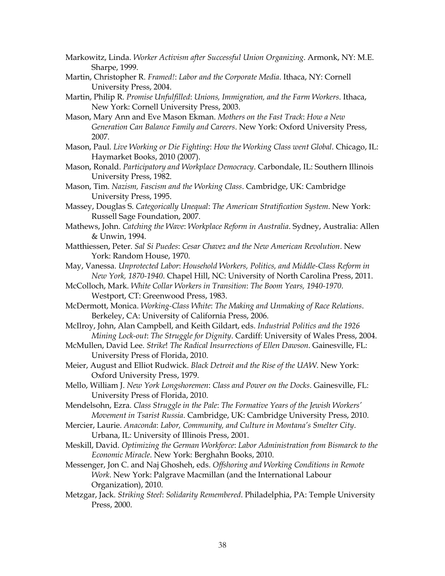- Markowitz, Linda. *Worker Activism after Successful Union Organizing*. Armonk, NY: M.E. Sharpe, 1999.
- Martin, Christopher R. *Framed!*: *Labor and the Corporate Media*. Ithaca, NY: Cornell University Press, 2004.
- Martin, Philip R. *Promise Unfulfilled*: *Unions, Immigration, and the Farm Workers*. Ithaca, New York: Cornell University Press, 2003.
- Mason, Mary Ann and Eve Mason Ekman. *Mothers on the Fast Track*: *How a New Generation Can Balance Family and Careers*. New York: Oxford University Press, 2007.
- Mason, Paul. *Live Working or Die Fighting*: *How the Working Class went Global*. Chicago, IL: Haymarket Books, 2010 (2007).
- Mason, Ronald. *Participatory and Workplace Democracy*. Carbondale, IL: Southern Illinois University Press, 1982.
- Mason, Tim. *Nazism, Fascism and the Working Class*. Cambridge, UK: Cambridge University Press, 1995.
- Massey, Douglas S. *Categorically Unequal*: *The American Stratification System*. New York: Russell Sage Foundation, 2007.
- Mathews, John. *Catching the Wave*: *Workplace Reform in Australia*. Sydney, Australia: Allen & Unwin, 1994.
- Matthiessen, Peter. *Sal Si Puedes*: *Cesar Chavez and the New American Revolution*. New York: Random House, 1970.
- May, Vanessa. *Unprotected Labor*: *Household Workers, Politics, and Middle-Class Reform in New York, 1870-1940*. Chapel Hill, NC: University of North Carolina Press, 2011.
- McColloch, Mark. *White Collar Workers in Transition*: *The Boom Years, 1940-1970*. Westport, CT: Greenwood Press, 1983.
- McDermott, Monica. *Working-Class White*: *The Making and Unmaking of Race Relations*. Berkeley, CA: University of California Press, 2006.
- McIlroy, John, Alan Campbell, and Keith Gildart, eds. *Industrial Politics and the 1926 Mining Lock-out*: *The Struggle for Dignity*. Cardiff: University of Wales Press, 2004.
- McMullen, David Lee. *Strike*! *The Radical Insurrections of Ellen Dawson*. Gainesville, FL: University Press of Florida, 2010.
- Meier, August and Elliot Rudwick. *Black Detroit and the Rise of the UAW*. New York: Oxford University Press, 1979.
- Mello, William J. *New York Longshoremen*: *Class and Power on the Docks*. Gainesville, FL: University Press of Florida, 2010.
- Mendelsohn, Ezra. *Class Struggle in the Pale*: *The Formative Years of the Jewish Workers' Movement in Tsarist Russia*. Cambridge, UK: Cambridge University Press, 2010.
- Mercier, Laurie. *Anaconda*: *Labor, Community, and Culture in Montana's Smelter City*. Urbana, IL: University of Illinois Press, 2001.
- Meskill, David. *Optimizing the German Workforce*: *Labor Administration from Bismarck to the Economic Miracle*. New York: Berghahn Books, 2010.
- Messenger, Jon C. and Naj Ghosheh, eds. *Offshoring and Working Conditions in Remote Work*. New York: Palgrave Macmillan (and the International Labour Organization), 2010.
- Metzgar, Jack. *Striking Steel*: *Solidarity Remembered*. Philadelphia, PA: Temple University Press, 2000.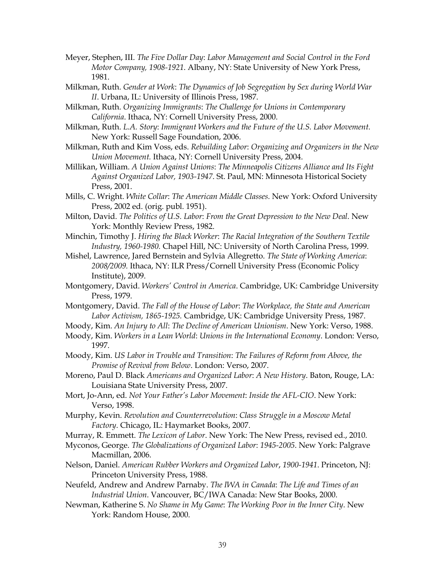- Meyer, Stephen, III. *The Five Dollar Day*: *Labor Management and Social Control in the Ford Motor Company, 1908-1921*. Albany, NY: State University of New York Press, 1981.
- Milkman, Ruth. *Gender at Work*: *The Dynamics of Job Segregation by Sex during World War II*. Urbana, IL: University of Illinois Press, 1987.
- Milkman, Ruth. *Organizing Immigrants*: *The Challenge for Unions in Contemporary California*. Ithaca, NY: Cornell University Press, 2000.
- Milkman, Ruth. *L.A. Story*: *Immigrant Workers and the Future of the U.S. Labor Movement.* New York: Russell Sage Foundation, 2006.
- Milkman, Ruth and Kim Voss, eds. *Rebuilding Labor*: *Organizing and Organizers in the New Union Movement.* Ithaca, NY: Cornell University Press, 2004.
- Millikan, William. *A Union Against Unions*: *The Minneapolis Citizens Alliance and Its Fight Against Organized Labor, 1903-1947*. St. Paul, MN: Minnesota Historical Society Press, 2001.
- Mills, C. Wright. *White Collar*: *The American Middle Classes.* New York: Oxford University Press, 2002 ed. (orig. publ. 1951).
- Milton, David. *The Politics of U.S. Labor*: *From the Great Depression to the New Deal.* New York: Monthly Review Press, 1982.
- Minchin, Timothy J. *Hiring the Black Worker*: *The Racial Integration of the Southern Textile Industry, 1960-1980.* Chapel Hill, NC: University of North Carolina Press, 1999.
- Mishel, Lawrence, Jared Bernstein and Sylvia Allegretto. *The State of Working America*: *2008/2009.* Ithaca, NY: ILR Press/Cornell University Press (Economic Policy Institute), 2009.
- Montgomery, David. *Workers' Control in America*. Cambridge, UK: Cambridge University Press, 1979.
- Montgomery, David. *The Fall of the House of Labor*: *The Workplace, the State and American Labor Activism, 1865-1925.* Cambridge, UK: Cambridge University Press, 1987.
- Moody, Kim. *An Injury to All*: *The Decline of American Unionism*. New York: Verso, 1988.
- Moody, Kim. *Workers in a Lean World*: *Unions in the International Economy*. London: Verso, 1997.
- Moody, Kim. *US Labor in Trouble and Transition*: *The Failures of Reform from Above, the Promise of Revival from Below*. London: Verso, 2007.
- Moreno, Paul D. Black *Americans and Organized Labor*: *A New History*. Baton, Rouge, LA: Louisiana State University Press, 2007.
- Mort, Jo-Ann, ed. *Not Your Father's Labor Movement*: *Inside the AFL-CIO*. New York: Verso, 1998.
- Murphy, Kevin. *Revolution and Counterrevolution*: *Class Struggle in a Moscow Metal Factory*. Chicago, IL: Haymarket Books, 2007.
- Murray, R. Emmett. *The Lexicon of Labor*. New York: The New Press, revised ed., 2010.
- Myconos, George. *The Globalizations of Organized Labor*: *1945-2005*. New York: Palgrave Macmillan, 2006.
- Nelson, Daniel. *American Rubber Workers and Organized Labor*, *1900-1941*. Princeton, NJ: Princeton University Press, 1988.
- Neufeld, Andrew and Andrew Parnaby. *The IWA in Canada*: *The Life and Times of an Industrial Union*. Vancouver, BC/IWA Canada: New Star Books, 2000.
- Newman, Katherine S. *No Shame in My Game*: *The Working Poor in the Inner City*. New York: Random House, 2000.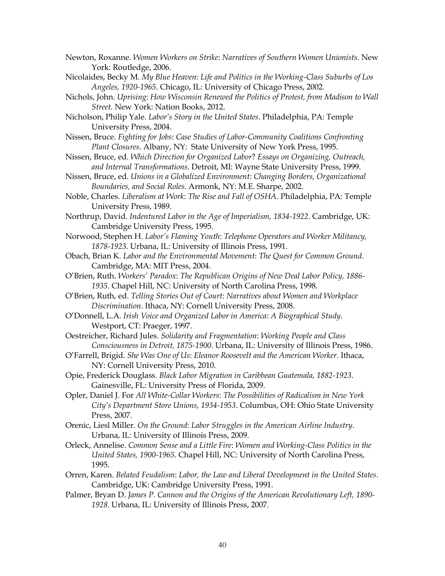- Newton, Roxanne. *Women Workers on Strike*: *Narratives of Southern Women Unionists*. New York: Routledge, 2006.
- Nicolaides, Becky M. *My Blue Heaven*: *Life and Politics in the Working-Class Suburbs of Los Angeles, 1920-1965*. Chicago, IL: University of Chicago Press, 2002.
- Nichols, John. *Uprising*: *How Wisconsin Renewed the Politics of Protest, from Madison to Wall Street*. New York: Nation Books, 2012.
- Nicholson, Philip Yale. *Labor's Story in the United States*. Philadelphia, PA: Temple University Press, 2004.
- Nissen, Bruce. *Fighting for Jobs*: *Case Studies of Labor-Community Coalitions Confronting Plant Closures*. Albany, NY: State University of New York Press, 1995.
- Nissen, Bruce, ed. *Which Direction for Organized Labor*? *Essays on Organizing, Outreach, and Internal Transformations*. Detroit, MI: Wayne State University Press, 1999.
- Nissen, Bruce, ed. *Unions in a Globalized Environment*: *Changing Borders, Organizational Boundaries, and Social Roles*. Armonk, NY: M.E. Sharpe, 2002.
- Noble, Charles. *Liberalism at Work*: *The Rise and Fall of OSHA*. Philadelphia, PA: Temple University Press, 1989.
- Northrup, David. *Indentured Labor in the Age of Imperialism, 1834-1922*. Cambridge, UK: Cambridge University Press, 1995.
- Norwood, Stephen H. *Labor's Flaming Youth*: *Telephone Operators and Worker Militancy, 1878-1923*. Urbana, IL: University of Illinois Press, 1991.
- Obach, Brian K. *Labor and the Environmental Movement*: *The Quest for Common Ground*. Cambridge, MA: MIT Press, 2004.
- O'Brien, Ruth. *Workers' Paradox*: *The Republican Origins of New Deal Labor Policy, 1886- 1935*. Chapel Hill, NC: University of North Carolina Press, 1998.
- O'Brien, Ruth, ed. *Telling Stories Out of Court*: *Narratives about Women and Workplace Discrimination*. Ithaca, NY: Cornell University Press, 2008.
- O'Donnell, L.A. *Irish Voice and Organized Labor in America*: *A Biographical Study*. Westport, CT: Praeger, 1997.
- Oestreicher, Richard Jules. *Solidarity and Fragmentation*: *Working People and Class Consciousness in Detroit, 1875-1900*. Urbana, IL: University of Illinois Press, 1986.
- O'Farrell, Brigid. *She Was One of Us*: *Eleanor Roosevelt and the American Worker*. Ithaca, NY: Cornell University Press, 2010.
- Opie, Frederick Douglass. *Black Labor Migration in Caribbean Guatemala, 1882-1923*. Gainesville, FL: University Press of Florida, 2009.
- Opler, Daniel J. For *All White-Collar Workers*: *The Possibilities of Radicalism in New York City's Department Store Unions, 1934-1953*. Columbus, OH: Ohio State University Press, 2007.
- Orenic, Liesl Miller. *On the Ground*: *Labor Struggles in the American Airline Industry*. Urbana, IL: University of Illinois Press, 2009.
- Orleck, Annelise. *Common Sense and a Little Fire*: *Women and Working-Class Politics in the United States, 1900-1965*. Chapel Hill, NC: University of North Carolina Press, 1995.
- Orren, Karen. *Belated Feudalism*: *Labor, the Law and Liberal Development in the United States*. Cambridge, UK: Cambridge University Press, 1991.
- Palmer, Bryan D. *James P. Cannon and the Origins of the American Revolutionary Left, 1890- 1928*. Urbana, IL: University of Illinois Press, 2007.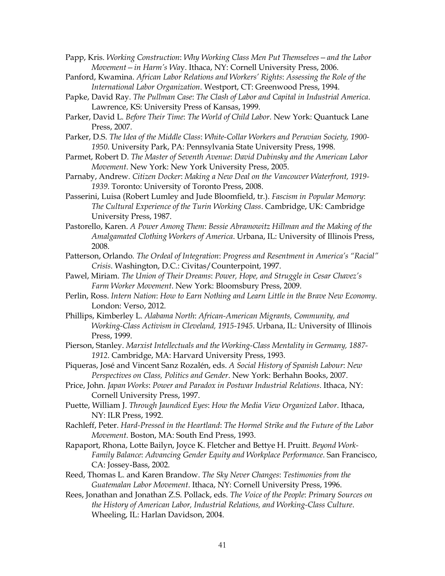Papp, Kris. *Working Construction*: *Why Working Class Men Put Themselves—and the Labor Movement—in Harm's Wa*y. Ithaca, NY: Cornell University Press, 2006.

- Panford, Kwamina. *African Labor Relations and Workers' Rights*: *Assessing the Role of the International Labor Organization*. Westport, CT: Greenwood Press, 1994.
- Papke, David Ray. *The Pullman Case*: *The Clash of Labor and Capital in Industrial America*. Lawrence, KS: University Press of Kansas, 1999.
- Parker, David L. *Before Their Time*: *The World of Child Labor*. New York: Quantuck Lane Press, 2007.
- Parker, D.S. *The Idea of the Middle Class*: *White-Collar Workers and Peruvian Society, 1900- 1950*. University Park, PA: Pennsylvania State University Press, 1998.
- Parmet, Robert D. *The Master of Seventh Avenue*: *David Dubinsky and the American Labor Movement*. New York: New York University Press, 2005.
- Parnaby, Andrew*. Citizen Docker*: *Making a New Deal on the Vancouver Waterfront, 1919- 1939*. Toronto: University of Toronto Press, 2008.
- Passerini, Luisa (Robert Lumley and Jude Bloomfield, tr.). *Fascism in Popular Memory*: *The Cultural Experience of the Turin Working Class*. Cambridge, UK: Cambridge University Press, 1987.
- Pastorello, Karen. *A Power Among Them*: *Bessie Abramowitz Hillman and the Making of the Amalgamated Clothing Workers of America*. Urbana, IL: University of Illinois Press, 2008.
- Patterson, Orlando*. The Ordeal of Integration*: *Progress and Resentment in America's "Racial" Crisis*. Washington, D.C.: Civitas/Counterpoint, 1997.
- Pawel, Miriam. *The Union of Their Dreams*: *Power, Hope, and Struggle in Cesar Chavez's Farm Worker Movement*. New York: Bloomsbury Press, 2009.
- Perlin, Ross. *Intern Nation*: *How to Earn Nothing and Learn Little in the Brave New Economy*. London: Verso, 2012.
- Phillips, Kimberley L. *Alabama North*: *African-American Migrants, Community, and Working-Class Activism in Cleveland, 1915-1945*. Urbana, IL: University of Illinois Press, 1999.
- Pierson, Stanley. *Marxist Intellectuals and the Working-Class Mentality in Germany, 1887- 1912*. Cambridge, MA: Harvard University Press, 1993.
- Piqueras, José and Vincent Sanz Rozalén, eds. *A Social History of Spanish Labour*: *New Perspectives on Class, Politics and Gender*. New York: Berhahn Books, 2007.
- Price, John. *Japan Works*: *Power and Paradox in Postwar Industrial Relations*. Ithaca, NY: Cornell University Press, 1997.
- Puette, William J. *Through Jaundiced Eyes*: *How the Media View Organized Labor*. Ithaca, NY: ILR Press, 1992.
- Rachleff, Peter. *Hard-Pressed in the Heartland*: *The Hormel Strike and the Future of the Labor Movement*. Boston, MA: South End Press, 1993.
- Rapaport, Rhona, Lotte Bailyn, Joyce K. Fletcher and Bettye H. Pruitt. *Beyond Work-Family Balance*: *Advancing Gender Equity and Workplace Performance*. San Francisco, CA: Jossey-Bass, 2002.
- Reed, Thomas L. and Karen Brandow. *The Sky Never Changes*: *Testimonies from the Guatemalan Labor Movement*. Ithaca, NY: Cornell University Press, 1996.
- Rees, Jonathan and Jonathan Z.S. Pollack, eds. *The Voice of the People*: *Primary Sources on the History of American Labor, Industrial Relations, and Working-Class Culture*. Wheeling, IL: Harlan Davidson, 2004.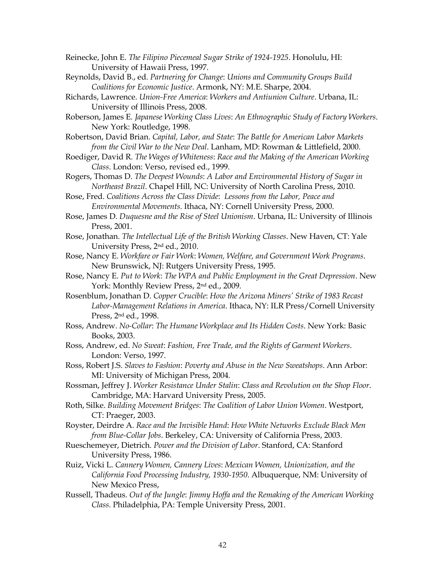Reinecke, John E. *The Filipino Piecemeal Sugar Strike of 1924-1925*. Honolulu, HI: University of Hawaii Press, 1997.

- Reynolds, David B., ed. *Partnering for Change*: *Unions and Community Groups Build Coalitions for Economic Justice*. Armonk, NY: M.E. Sharpe, 2004.
- Richards, Lawrence. *Union-Free America*: *Workers and Antiunion Culture*. Urbana, IL: University of Illinois Press, 2008.
- Roberson, James E*. Japanese Working Class Lives*: *An Ethnographic Study of Factory Workers*. New York: Routledge, 1998.
- Robertson, David Brian. *Capital, Labor, and State*: *The Battle for American Labor Markets from the Civil War to the New Deal*. Lanham, MD: Rowman & Littlefield, 2000.
- Roediger, David R. *The Wages of Whiteness*: *Race and the Making of the American Working Class*. London: Verso, revised ed., 1999.
- Rogers, Thomas D. *The Deepest Wounds*: *A Labor and Environmental History of Sugar in Northeast Brazil*. Chapel Hill, NC: University of North Carolina Press, 2010.
- Rose, Fred. *Coalitions Across the Class Divide*: *Lessons from the Labor, Peace and Environmental Movements*. Ithaca, NY: Cornell University Press, 2000.
- Rose, James D. *Duquesne and the Rise of Steel Unionism*. Urbana, IL: University of Illinois Press, 2001.
- Rose, Jonathan. *The Intellectual Life of the British Working Classes*. New Haven, CT: Yale University Press, 2nd ed., 2010.
- Rose, Nancy E. *Workfare or Fair Work*: *Women, Welfare, and Government Work Programs*. New Brunswick, NJ: Rutgers University Press, 1995.
- Rose, Nancy E. *Put to Work*: *The WPA and Public Employment in the Great Depression*. New York: Monthly Review Press, 2nd ed., 2009.
- Rosenblum, Jonathan D. *Copper Crucible*: *How the Arizona Miners' Strike of 1983 Recast Labor-Management Relations in America*. Ithaca, NY: ILR Press/Cornell University Press, 2nd ed., 1998.
- Ross, Andrew. *No-Collar*: *The Humane Workplace and Its Hidden Costs*. New York: Basic Books, 2003.
- Ross, Andrew, ed. *No Sweat*: *Fashion, Free Trade, and the Rights of Garment Workers*. London: Verso, 1997.
- Ross, Robert J.S. *Slaves to Fashion*: *Poverty and Abuse in the New Sweatshops*. Ann Arbor: MI: University of Michigan Press, 2004.
- Rossman, Jeffrey J. *Worker Resistance Under Stalin*: *Class and Revolution on the Shop Floor*. Cambridge, MA: Harvard University Press, 2005.
- Roth, Silke. *Building Movement Bridges*: *The Coalition of Labor Union Women*. Westport, CT: Praeger, 2003.
- Royster, Deirdre A. *Race and the Invisible Hand*: *How White Networks Exclude Black Men from Blue-Collar Jobs*. Berkeley, CA: University of California Press, 2003.
- Rueschemeyer, Dietrich*. Power and the Division of Labor*. Stanford, CA: Stanford University Press, 1986.
- Ruiz, Vicki L. *Cannery Women, Cannery Lives*: *Mexican Women, Unionization, and the California Food Processing Industry, 1930-1950*. Albuquerque, NM: University of New Mexico Press,
- Russell, Thadeus. *Out of the Jungle*: *Jimmy Hoffa and the Remaking of the American Working Class*. Philadelphia, PA: Temple University Press, 2001.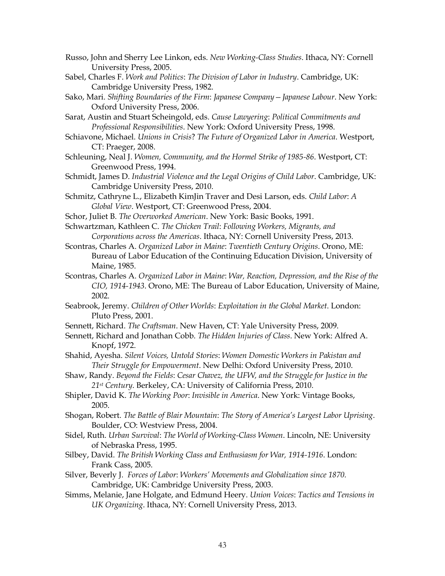- Russo, John and Sherry Lee Linkon, eds. *New Working-Class Studies*. Ithaca, NY: Cornell University Press, 2005.
- Sabel, Charles F. *Work and Politics*: *The Division of Labor in Industry*. Cambridge, UK: Cambridge University Press, 1982.
- Sako, Mari. *Shifting Boundaries of the Firm*: *Japanese Company—Japanese Labour*. New York: Oxford University Press, 2006.
- Sarat, Austin and Stuart Scheingold, eds. *Cause Lawyering*: *Political Commitments and Professional Responsibilities*. New York: Oxford University Press, 1998.
- Schiavone, Michael. *Unions in Crisis*? *The Future of Organized Labor in America*. Westport, CT: Praeger, 2008.
- Schleuning, Neal J. *Women, Community, and the Hormel Strike of 1985-86*. Westport, CT: Greenwood Press, 1994.
- Schmidt, James D. *Industrial Violence and the Legal Origins of Child Labor*. Cambridge, UK: Cambridge University Press, 2010.
- Schmitz, Cathryne L., Elizabeth KimJin Traver and Desi Larson, eds. *Child Labor*: *A Global View*. Westport, CT: Greenwood Press, 2004.
- Schor, Juliet B. *The Overworked American*. New York: Basic Books, 1991.
- Schwartzman, Kathleen C. *The Chicken Trail*: *Following Workers, Migrants, and Corporations across the Americas*. Ithaca, NY: Cornell University Press, 2013.
- Scontras, Charles A. *Organized Labor in Maine*: *Twentieth Century Origins*. Orono, ME: Bureau of Labor Education of the Continuing Education Division, University of Maine, 1985.
- Scontras, Charles A. *Organized Labor in Maine*: *War, Reaction, Depression, and the Rise of the CIO, 1914-1943*. Orono, ME: The Bureau of Labor Education, University of Maine, 2002.
- Seabrook, Jeremy. *Children of Other Worlds*: *Exploitation in the Global Market*. London: Pluto Press, 2001.
- Sennett, Richard. *The Craftsman*. New Haven, CT: Yale University Press, 2009.
- Sennett, Richard and Jonathan Cobb. *The Hidden Injuries of Class*. New York: Alfred A. Knopf, 1972.
- Shahid, Ayesha. *Silent Voices, Untold Stories*: *Women Domestic Workers in Pakistan and Their Struggle for Empowerment*. New Delhi: Oxford University Press, 2010.
- Shaw, Randy. *Beyond the Fields*: *Cesar Chavez, the UFW, and the Struggle for Justice in the 21st Century*. Berkeley, CA: University of California Press, 2010.
- Shipler, David K. *The Working Poor*: *Invisible in America*. New York: Vintage Books, 2005.
- Shogan, Robert. *The Battle of Blair Mountain*: *The Story of America's Largest Labor Uprising*. Boulder, CO: Westview Press, 2004.
- Sidel, Ruth. *Urban Survival*: *The World of Working-Class Women*. Lincoln, NE: University of Nebraska Press, 1995.
- Silbey, David. *The British Working Class and Enthusiasm for War, 1914-1916*. London: Frank Cass, 2005.
- Silver, Beverly J. *Forces of Labor*: *Workers' Movements and Globalization since 1870.* Cambridge, UK: Cambridge University Press, 2003.
- Simms, Melanie, Jane Holgate, and Edmund Heery. *Union Voices*: *Tactics and Tensions in UK Organizing*. Ithaca, NY: Cornell University Press, 2013.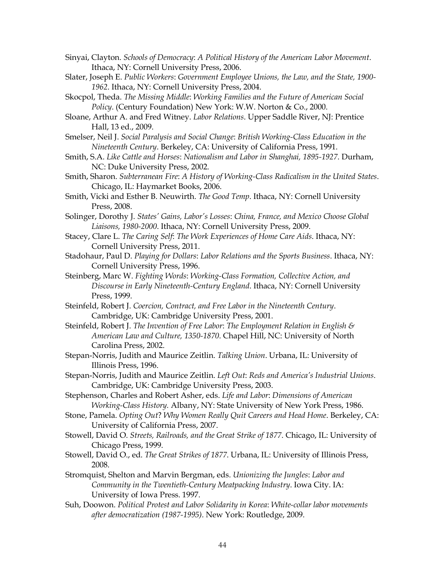- Sinyai, Clayton. *Schools of Democracy*: *A Political History of the American Labor Movement*. Ithaca, NY: Cornell University Press, 2006.
- Slater, Joseph E. *Public Workers*: *Government Employee Unions, the Law, and the State, 1900- 1962*. Ithaca, NY: Cornell University Press, 2004.
- Skocpol, Theda. *The Missing Middle*: *Working Families and the Future of American Social Policy*. (Century Foundation) New York: W.W. Norton & Co., 2000.
- Sloane, Arthur A. and Fred Witney. *Labor Relations*. Upper Saddle River, NJ: Prentice Hall, 13 ed., 2009.
- Smelser, Neil J. *Social Paralysis and Social Change*: *British Working-Class Education in the Nineteenth Century*. Berkeley, CA: University of California Press, 1991.
- Smith, S.A. *Like Cattle and Horses*: *Nationalism and Labor in Shanghai, 1895-1927*. Durham, NC: Duke University Press, 2002.
- Smith, Sharon. *Subterranean Fire*: *A History of Working-Class Radicalism in the United States*. Chicago, IL: Haymarket Books, 2006.
- Smith, Vicki and Esther B. Neuwirth. *The Good Temp*. Ithaca, NY: Cornell University Press, 2008.
- Solinger, Dorothy J. *States' Gains, Labor's Losses*: *China, France, and Mexico Choose Global Liaisons, 1980-2000*. Ithaca, NY: Cornell University Press, 2009.
- Stacey, Clare L. *The Caring Self*: *The Work Experiences of Home Care Aids*. Ithaca, NY: Cornell University Press, 2011.
- Stadohaur, Paul D. *Playing for Dollars*: *Labor Relations and the Sports Business*. Ithaca, NY: Cornell University Press, 1996.
- Steinberg, Marc W. *Fighting Words*: *Working-Class Formation, Collective Action, and Discourse in Early Nineteenth-Century England*. Ithaca, NY: Cornell University Press, 1999.
- Steinfeld, Robert J. *Coercion, Contract, and Free Labor in the Nineteenth Century*. Cambridge, UK: Cambridge University Press, 2001.
- Steinfeld, Robert J. *The Invention of Free Labor*: *The Employment Relation in English & American Law and Culture, 1350-1870*. Chapel Hill, NC: University of North Carolina Press, 2002.
- Stepan-Norris, Judith and Maurice Zeitlin. *Talking Union*. Urbana, IL: University of Illinois Press, 1996.
- Stepan-Norris, Judith and Maurice Zeitlin. *Left Out*: *Reds and America's Industrial Unions*. Cambridge, UK: Cambridge University Press, 2003.
- Stephenson, Charles and Robert Asher, eds. *Life and Labor*: *Dimensions of American Working-Class History.* Albany, NY: State University of New York Press, 1986.
- Stone, Pamela. *Opting Out*? *Why Women Really Quit Careers and Head Home*. Berkeley, CA: University of California Press, 2007.
- Stowell, David O. *Streets, Railroads, and the Great Strike of 1877*. Chicago, IL: University of Chicago Press, 1999.
- Stowell, David O., ed. *The Great Strikes of 1877*. Urbana, IL: University of Illinois Press, 2008.
- Stromquist, Shelton and Marvin Bergman, eds. *Unionizing the Jungles*: *Labor and Community in the Twentieth-Century Meatpacking Industry*. Iowa City. IA: University of Iowa Press. 1997.
- Suh, Doowon. *Political Protest and Labor Solidarity in Korea*: *White-collar labor movements after democratization (1987-1995)*. New York: Routledge, 2009.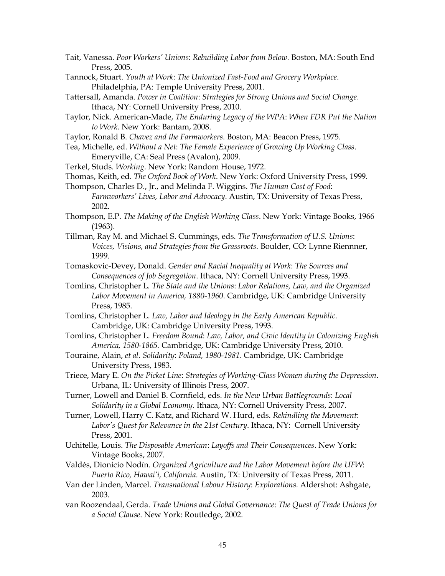- Tait, Vanessa. *Poor Workers' Unions*: *Rebuilding Labor from Below.* Boston, MA: South End Press, 2005.
- Tannock, Stuart. *Youth at Work*: *The Unionized Fast-Food and Grocery Workplace*. Philadelphia, PA: Temple University Press, 2001.
- Tattersall, Amanda. *Power in Coalition*: *Strategies for Strong Unions and Social Change*. Ithaca, NY: Cornell University Press, 2010.
- Taylor, Nick. American-Made, *The Enduring Legacy of the WPA*: *When FDR Put the Nation to Work.* New York: Bantam, 2008.
- Taylor, Ronald B. *Chavez and the Farmworkers*. Boston, MA: Beacon Press, 1975.
- Tea, Michelle, ed. *Without a Net*: *The Female Experience of Growing Up Working Class*. Emeryville, CA: Seal Press (Avalon), 2009.
- Terkel, Studs. *Working*. New York: Random House, 1972.
- Thomas, Keith, ed. *The Oxford Book of Work*. New York: Oxford University Press, 1999.
- Thompson, Charles D., Jr., and Melinda F. Wiggins. *The Human Cost of Food*: *Farmworkers' Lives, Labor and Advocacy*. Austin, TX: University of Texas Press, 2002.
- Thompson, E.P. *The Making of the English Working Class*. New York: Vintage Books, 1966 (1963).
- Tillman, Ray M. and Michael S. Cummings, eds. *The Transformation of U.S. Unions*: *Voices, Visions, and Strategies from the Grassroots.* Boulder, CO: Lynne Riennner, 1999.
- Tomaskovic-Devey, Donald. *Gender and Racial Inequality at Work*: *The Sources and Consequences of Job Segregation*. Ithaca, NY: Cornell University Press, 1993.
- Tomlins, Christopher L*. The State and the Unions*: *Labor Relations, Law, and the Organized Labor Movement in America, 1880-1960*. Cambridge, UK: Cambridge University Press, 1985.
- Tomlins, Christopher L. *Law, Labor and Ideology in the Early American Republic*. Cambridge, UK: Cambridge University Press, 1993.
- Tomlins, Christopher L. *Freedom Bound*: *Law, Labor, and Civic Identity in Colonizing English America, 1580-1865.* Cambridge, UK: Cambridge University Press, 2010.
- Touraine, Alain, *et al. Solidarity*: *Poland, 1980-1981*. Cambridge, UK: Cambridge University Press, 1983.
- Triece, Mary E. *On the Picket Line*: *Strategies of Working-Class Women during the Depression*. Urbana, IL: University of Illinois Press, 2007.
- Turner, Lowell and Daniel B. Cornfield, eds. *In the New Urban Battlegrounds*: *Local Solidarity in a Global Economy*. Ithaca, NY: Cornell University Press, 2007.
- Turner, Lowell, Harry C. Katz, and Richard W. Hurd, eds. *Rekindling the Movement*: *Labor's Quest for Relevance in the 21st Century*. Ithaca, NY: Cornell University Press, 2001.
- Uchitelle, Louis. *The Disposable American*: *Layoffs and Their Consequences*. New York: Vintage Books, 2007.
- Valdés, Dionicio Nodín. *Organized Agriculture and the Labor Movement before the UFW*: *Puerto Rico, Hawai'i, California*. Austin, TX: University of Texas Press, 2011.
- Van der Linden, Marcel. *Transnational Labour History*: *Explorations*. Aldershot: Ashgate, 2003.
- van Roozendaal, Gerda. *Trade Unions and Global Governance*: *The Quest of Trade Unions for a Social Clause*. New York: Routledge, 2002.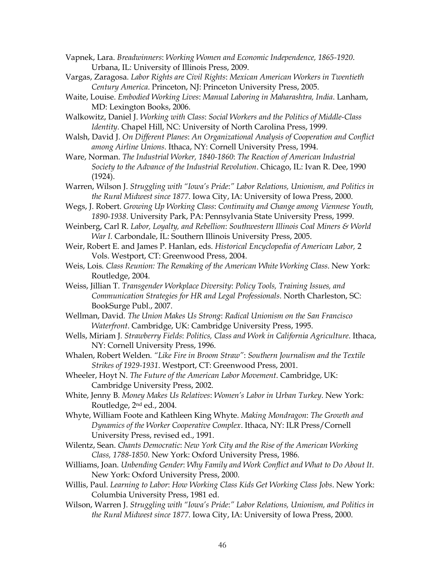Vapnek, Lara. *Breadwinners*: *Working Women and Economic Independence, 1865-1920*. Urbana, IL: University of Illinois Press, 2009.

- Vargas, Zaragosa. *Labor Rights are Civil Rights*: *Mexican American Workers in Twentieth Century America*. Princeton, NJ: Princeton University Press, 2005.
- Waite, Louise. *Embodied Working Lives*: *Manual Laboring in Maharashtra, India*. Lanham, MD: Lexington Books, 2006.

Walkowitz, Daniel J. *Working with Class*: *Social Workers and the Politics of Middle-Class Identity*. Chapel Hill, NC: University of North Carolina Press, 1999.

Walsh, David J. *On Different Planes*: *An Organizational Analysis of Cooperation and Conflict among Airline Unions*. Ithaca, NY: Cornell University Press, 1994.

Ware, Norman. *The Industrial Worker, 1840-1860*: *The Reaction of American Industrial Society to the Advance of the Industrial Revolution*. Chicago, IL: Ivan R. Dee, 1990 (1924).

Warren, Wilson J. *Struggling with "Iowa's Pride*:*" Labor Relations, Unionism, and Politics in the Rural Midwest since 1877*. Iowa City, IA: University of Iowa Press, 2000.

Wegs, J. Robert. *Growing Up Working Class*: *Continuity and Change among Viennese Youth, 1890-1938*. University Park, PA: Pennsylvania State University Press, 1999.

Weinberg, Carl R. *Labor, Loyalty, and Rebellion*: *Southwestern Illinois Coal Miners & World War I*. Carbondale, IL: Southern Illinois University Press, 2005.

Weir, Robert E. and James P. Hanlan, eds. *Historical Encyclopedia of American Labor,* 2 Vols. Westport, CT: Greenwood Press, 2004.

Weis, Lois*. Class Reunion: The Remaking of the American White Working Class*. New York: Routledge, 2004.

Weiss, Jillian T. *Transgender Workplace Diversity*: *Policy Tools, Training Issues, and Communication Strategies for HR and Legal Professionals*. North Charleston, SC: BookSurge Publ., 2007.

Wellman, David*. The Union Makes Us Strong*: *Radical Unionism on the San Francisco Waterfront*. Cambridge, UK: Cambridge University Press, 1995.

Wells, Miriam J*. Strawberry Fields*: *Politics, Class and Work in California Agriculture*. Ithaca, NY: Cornell University Press, 1996.

- Whalen, Robert Welden*. "Like Fire in Broom Straw"*: *Southern Journalism and the Textile Strikes of 1929-1931*. Westport, CT: Greenwood Press, 2001.
- Wheeler, Hoyt N. *The Future of the American Labor Movement*. Cambridge, UK: Cambridge University Press, 2002.

White, Jenny B. *Money Makes Us Relatives*: *Women's Labor in Urban Turkey*. New York: Routledge, 2nd ed., 2004.

Whyte, William Foote and Kathleen King Whyte. *Making Mondragon*: *The Growth and Dynamics of the Worker Cooperative Complex*. Ithaca, NY: ILR Press/Cornell University Press, revised ed., 1991.

Wilentz, Sean. *Chants Democratic*: *New York City and the Rise of the American Working Class, 1788-1850*. New York: Oxford University Press, 1986.

Williams, Joan. *Unbending Gender*: *Why Family and Work Conflict and What to Do About It*. New York: Oxford University Press, 2000.

Willis, Paul. *Learning to Labor*: *How Working Class Kids Get Working Class Jobs*. New York: Columbia University Press, 1981 ed.

Wilson, Warren J. *Struggling with "Iowa's Pride*:*" Labor Relations, Unionism, and Politics in the Rural Midwest since 1877*. Iowa City, IA: University of Iowa Press, 2000.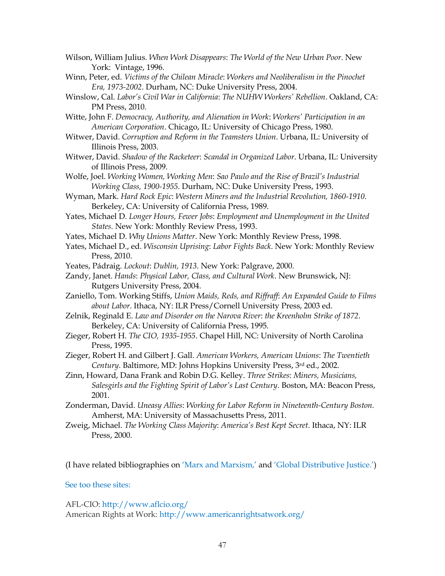- Wilson, William Julius. *When Work Disappears*: *The World of the New Urban Poor*. New York: Vintage, 1996.
- Winn, Peter, ed. *Victims of the Chilean Miracle*: *Workers and Neoliberalism in the Pinochet Era, 1973-2002*. Durham, NC: Duke University Press, 2004.
- Winslow, Cal. *Labor's Civil War in California*: *The NUHW Workers' Rebellion*. Oakland, CA: PM Press, 2010.
- Witte, John F. *Democracy, Authority, and Alienation in Work*: *Workers' Participation in an American Corporation*. Chicago, IL: University of Chicago Press, 1980.
- Witwer, David. *Corruption and Reform in the Teamsters Union*. Urbana, IL: University of Illinois Press, 2003.
- Witwer, David. *Shadow of the Racketeer*: *Scandal in Organized Labor*. Urbana, IL: University of Illinois Press, 2009.
- Wolfe, Joel. *Working Women, Working Men*: *Sao Paulo and the Rise of Brazil's Industrial Working Class, 1900-1955*. Durham, NC: Duke University Press, 1993.
- Wyman, Mark. *Hard Rock Epic*: *Western Miners and the Industrial Revolution, 1860-1910*. Berkeley, CA: University of California Press, 1989.
- Yates, Michael D. *Longer Hours, Fewer Jobs*: *Employment and Unemployment in the United States.* New York: Monthly Review Press, 1993.
- Yates, Michael D. *Why Unions Matter*. New York: Monthly Review Press, 1998.
- Yates, Michael D., ed. *Wisconsin Uprising*: *Labor Fights Back*. New York: Monthly Review Press, 2010.
- Yeates, Pádraig. *Lockout*: *Dublin, 1913*. New York: Palgrave, 2000.
- Zandy, Janet. *Hands*: *Physical Labor, Class, and Cultural Work*. New Brunswick, NJ: Rutgers University Press, 2004.
- Zaniello, Tom. Working Stiffs, *Union Maids, Reds, and Riffraff*: *An Expanded Guide to Films about Labor*. Ithaca, NY: ILR Press/Cornell University Press, 2003 ed.
- Zelnik, Reginald E. *Law and Disorder on the Narova River*: *the Kreenholm Strike of 1872*. Berkeley, CA: University of California Press, 1995.
- Zieger, Robert H. *The CIO, 1935-1955*. Chapel Hill, NC: University of North Carolina Press, 1995.
- Zieger, Robert H. and Gilbert J. Gall. *American Workers, American Unions*: *The Twentieth Century*. Baltimore, MD: Johns Hopkins University Press, 3rd ed., 2002.
- Zinn, Howard, Dana Frank and Robin D.G. Kelley. *Three Strikes*: *Miners, Musicians, Salesgirls and the Fighting Spirit of Labor's Last Century*. Boston, MA: Beacon Press, 2001.
- Zonderman, David. *Uneasy Allies*: *Working for Labor Reform in Nineteenth-Century Boston*. Amherst, MA: University of Massachusetts Press, 2011.
- Zweig, Michael. *The Working Class Majority*: *America's Best Kept Secret*. Ithaca, NY: ILR Press, 2000.

(I have related bibliographies on 'Marx and Marxism,' and 'Global Distributive Justice.')

### See too these sites:

AFL-CIO[: http://www.aflcio.org/](http://www.aflcio.org/) American Rights at Work:<http://www.americanrightsatwork.org/>